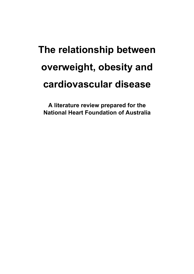# **The relationship between overweight, obesity and cardiovascular disease**

**A literature review prepared for the National Heart Foundation of Australia**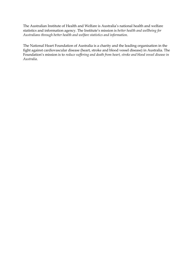The Australian Institute of Health and Welfare is Australia's national health and welfare statistics and information agency. The Institute's mission is *better health and wellbeing for Australians through better health and welfare statistics and information*.

The National Heart Foundation of Australia is a charity and the leading organisation in the fight against cardiovascular disease (heart, stroke and blood vessel disease) in Australia. The Foundation's mission is to *reduce suffering and death from heart, stroke and blood vessel disease in Australia*.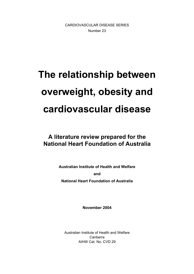CARDIOVASCULAR DISEASE SERIES Number 23

# **The relationship between overweight, obesity and cardiovascular disease**

# **A literature review prepared for the National Heart Foundation of Australia**

**Australian Institute of Health and Welfare and** 

**National Heart Foundation of Australia** 

**November 2004** 

Australian Institute of Health and Welfare Canberra AIHW Cat. No. CVD 29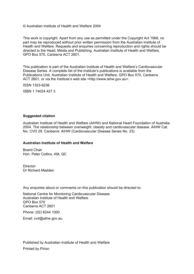© Australian Institute of Health and Welfare 2004

This work is copyright. Apart from any use as permitted under the Copyright Act 1968, no part may be reproduced without prior written permission from the Australian Institute of Health and Welfare. Requests and enquiries concerning reproduction and rights should be directed to the Head, Media and Publishing, Australian Institute of Health and Welfare, GPO Box 570, Canberra ACT 2601.

This publication is part of the Australian Institute of Health and Welfare's Cardiovascular Disease Series. A complete list of the Institute's publications is available from the Publications Unit, Australian Institute of Health and Welfare, GPO Box 570, Canberra ACT 2601, or via the Institute's web site <http://www.aihw.gov.au>.

ISSN 1323-9236

ISBN 1 74024 427 3

#### **Suggested citation**

Australian Institute of Health and Welfare (AIHW) and National Heart Foundation of Australia 2004. The relationship between overweight, obesity and cardiovascular disease. AIHW Cat. No. CVD 29. Canberra: AIHW (Cardiovascular Disease Series No. 23).

#### **Australian Institute of Health and Welfare**

Board Chair Hon. Peter Collins, AM, QC

**Director** Dr Richard Madden

Any enquiries about or comments on this publication should be directed to:

National Centre for Monitoring Cardiovascular Disease Australian Institute of Health and Welfare GPO Box 570 Canberra ACT 2601

Phone: (02) 6244 1000

Email: cvd@aihw.gov.au

Published by Australian Institute of Health and Welfare Printed by Pirion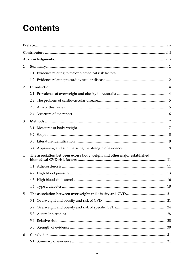# **Contents**

| 1              |                                                                        |  |
|----------------|------------------------------------------------------------------------|--|
|                |                                                                        |  |
|                |                                                                        |  |
| $\overline{2}$ |                                                                        |  |
|                |                                                                        |  |
|                |                                                                        |  |
|                | 2.3                                                                    |  |
|                |                                                                        |  |
| 3              |                                                                        |  |
|                |                                                                        |  |
|                |                                                                        |  |
|                |                                                                        |  |
|                |                                                                        |  |
| 4              | The association between excess body weight and other major established |  |
|                |                                                                        |  |
|                |                                                                        |  |
|                |                                                                        |  |
|                |                                                                        |  |
| 5              |                                                                        |  |
|                |                                                                        |  |
|                |                                                                        |  |
|                | 5.3                                                                    |  |
|                |                                                                        |  |
|                |                                                                        |  |
| 6              |                                                                        |  |
|                |                                                                        |  |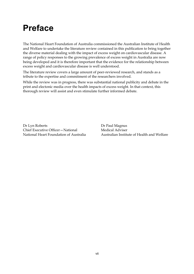# **Preface**

The National Heart Foundation of Australia commissioned the Australian Institute of Health and Welfare to undertake the literature review contained in this publication to bring together the diverse material dealing with the impact of excess weight on cardiovascular disease. A range of policy responses to the growing prevalence of excess weight in Australia are now being developed and it is therefore important that the evidence for the relationship between excess weight and cardiovascular disease is well understood.

The literature review covers a large amount of peer-reviewed research, and stands as a tribute to the expertise and commitment of the researchers involved.

While the review was in progress, there was substantial national publicity and debate in the print and electonic media over the health impacts of excess weight. In that context, this thorough review will assist and even stimulate further informed debate.

Dr Lyn Roberts Chief Executive Officer—National National Heart Foundation of Australia Dr Paul Magnus Medical Adviser Australian Institute of Health and Welfare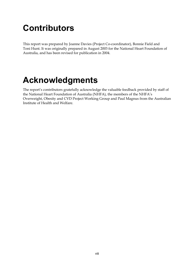# **Contributors**

This report was prepared by Joanne Davies (Project Co-coordinator), Bonnie Field and Toni Hunt. It was originally prepared in August 2003 for the National Heart Foundation of Australia, and has been revised for publication in 2004.

# **Acknowledgments**

The report's contributors gratefully acknowledge the valuable feedback provided by staff of the National Heart Foundation of Australia (NHFA), the members of the NHFA's Overweight, Obesity and CVD Project Working Group and Paul Magnus from the Australian Institute of Health and Welfare.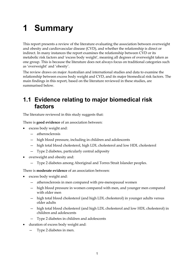# **1 Summary**

This report presents a review of the literature evaluating the association between overweight and obesity and cardiovascular disease (CVD), and whether the relationship is direct or indirect. In many instances the report examines the relationship between CVD or its metabolic risk factors and 'excess body weight', meaning all degrees of overweight taken as one group. This is because the literature does not always focus on traditional categories such as 'overweight' and 'obesity'.

The review draws on major Australian and international studies and data to examine the relationship between excess body weight and CVD, and its major biomedical risk factors. The main findings in this report, based on the literature reviewed in these studies, are summarised below.

# **1.1 Evidence relating to major biomedical risk factors**

The literature reviewed in this study suggests that:

There is **good evidence** of an association between:

- excess body weight and:
	- atherosclerosis
	- high blood pressure, including in children and adolescents
	- high total blood cholesterol, high LDL cholesterol and low HDL cholesterol
	- Type 2 diabetes, particularly central adiposity
- overweight and obesity and:
	- Type 2 diabetes among Aboriginal and Torres Strait Islander peoples.

There is **moderate evidence** of an association between:

- excess body weight and:
	- atherosclerosis in men compared with pre-menopausal women
	- high blood pressure in women compared with men, and younger men compared with older men
	- high total blood cholesterol (and high LDL cholesterol) in younger adults versus older adults
	- high total blood cholesterol (and high LDL cholesterol and low HDL cholesterol) in children and adolescents
	- Type 2 diabetes in children and adolescents
- duration of excess body weight and:
	- Type 2 diabetes in men.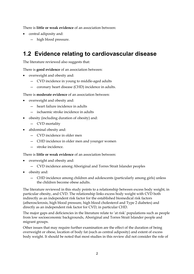There is **little or weak evidence** of an association between:

- central adiposity and:
	- high blood pressure.

# **1.2 Evidence relating to cardiovascular disease**

The literature reviewed also suggests that:

There is **good evidence** of an association between:

- overweight and obesity and:
	- CVD incidence in young to middle-aged adults
	- coronary heart disease (CHD) incidence in adults.

There is **moderate evidence** of an association between:

- overweight and obesity and:
	- heart failure incidence in adults
	- ischaemic stroke incidence in adults
- obesity (including duration of obesity) and:
	- CVD mortality
- abdominal obesity and:
	- CVD incidence in older men
	- CHD incidence in older men and younger women
	- stroke incidence.

There is **little or weak evidence** of an association between:

- overweight and obesity and:
	- CVD incidence among Aboriginal and Torres Strait Islander peoples
- obesity and:
	- CHD incidence among children and adolescents (particularly among girls) unless the children become obese adults.

The literature reviewed in this study points to a relationship between excess body weight, in particular obesity, and CVD. The relationship links excess body weight with CVD both indirectly as an independent risk factor for the established biomedical risk factors (atherosclerosis, high blood pressure, high blood cholesterol and Type 2 diabetes) and directly as an independent risk factor for CVD, in particular CHD.

The major gaps and deficiencies in the literature relate to 'at risk' populations such as people from low socioeconomic backgrounds, Aboriginal and Torres Strait Islander people and migrant groups.

Other issues that may require further examination are the effect of the duration of being overweight or obese, location of body fat (such as central adiposity) and extent of excess body weight. It should be noted that most studies in this review did not consider the role of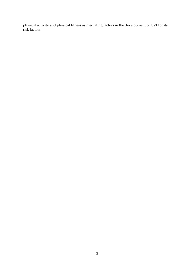physical activity and physical fitness as mediating factors in the development of CVD or its risk factors.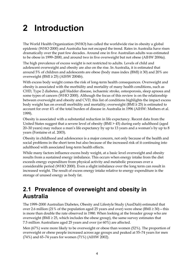# **2 Introduction**

The World Health Organization (WHO) has called the worldwide rise in obesity a global epidemic (WHO 2000) and Australia has not escaped the trend. Rates in Australia have risen dramatically over the past few decades. Around one in five Australian adults was estimated to be obese in 1999–2000, and around two in five overweight but not obese (AIHW 2004a).

The high prevalence of excess weight is not restricted to adults. Levels of child and adolescent overweight and obesity are also on the rise. In Australia, it is estimated that around 5% of children and adolescents are obese (body mass index (BMI)  $\geq$  30) and 20% are overweight (BMI  $\geq$  25) (AIHW 2004b).

With excess body weight comes the risk of long-term health consequences. Overweight and obesity is associated with the morbidity and mortality of many health conditions, such as CHD, Type 2 diabetes, gall bladder disease, ischaemic stroke, osteoporosis, sleep apnoea and some types of cancers (WHO 2000). Although the focus of this review is on the relationship between overweight and obesity and CVD, this list of conditions highlights the impact excess body weight has on overall morbidity and mortality; overweight (BMI ≥ 25) is estimated to account for over 4% of the total burden of disease in Australia in 1996 (AIHW: Mathers et al. 1999).

Obesity is associated with a substantial reduction in life expectancy. Recent data from the United States suggest that a severe level of obesity (BMI > 45) during early adulthood (aged 20–30 years) may reduce a man's life expectancy by up to 13 years and a woman's by up to 8 years (Fontaine et al. 2003).

Obesity in childhood and adolescence is a major concern, not only because of the health and social problems in the short term but also because of the increased risk of it continuing into adulthood with associated long-term health effects.

While many factors influence excess body weight, at a basic level overweight and obesity results from a sustained energy imbalance. This occurs when energy intake from the diet exceeds energy expenditure from physical activity and metabolic processes over a considerable period (WHO 2000). Even a slight imbalance over the long term can result in increased weight. The result of excess energy intake relative to energy expenditure is the storage of unused energy as body fat.

# **2.1 Prevalence of overweight and obesity in Australia**

The 1999–2000 Australian Diabetes, Obesity and Lifestyle Study (AusDiab) estimated that over 2.6 million (21% of the population aged 25 years and over) were obese (BMI  $\geq$  30) – this is more than double the rate observed in 1980. When looking at the broader group who are overweight (BMI ≥ 25, which includes the obese group), the same survey estimates that 7.5 million Australians aged 25 years and over (or 60%) are affected.

Men (67%) were more likely to be overweight or obese than women (52%). The proportion of overweight or obese people increased across age groups and peaked at 55–74 years for men (74%) and 65–74 years for women (71%) (AIHW 2002).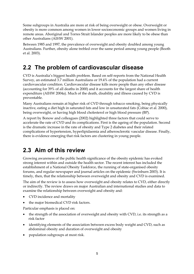Some subgroups in Australia are more at risk of being overweight or obese. Overweight or obesity is more common among women in lower socioeconomic groups and women living in remote areas. Aboriginal and Torres Strait Islander peoples are more likely to be obese than other Australians (AIHW 2001).

Between 1985 and 1997, the prevalence of overweight and obesity doubled among young Australians. Further, obesity alone trebled over the same period among young people (Booth et al. 2003).

# **2.2 The problem of cardiovascular disease**

CVD is Australia's biggest health problem. Based on self-reports from the National Health Survey, an estimated 3.7 million Australians or 19.4% of the population had a current cardiovascular condition. Cardiovascular disease kills more people than any other disease (accounting for 39% of all deaths in 2000) and it accounts for the largest share of health expenditure (AIHW 2004a). Much of the death, disability and illness caused by CVD is preventable.

Many Australians remain at higher risk of CVD through tobacco smoking, being physically inactive, eating a diet high in saturated fats and low in unsaturated fats (Cobiac et al. 2000), being overweight, or having high blood cholesterol or high blood pressure (BP).

A report by Bonow and colleagues (2002) highlighted three factors that could serve to accelerate the rate of CVD and its complications. First is the ageing of the population. Second is the dramatic increase in the rate of obesity and Type 2 diabetes and their related complications of hypertension, hyperlipidaemia and atherosclerotic vascular disease. Finally, there is evidence emerging that risk factors are clustering in young people.

# **2.3 Aim of this review**

Growing awareness of the public health significance of the obesity epidemic has evoked strong interest within and outside the health sector. The recent interest has included the establishment of a National Obesity Taskforce, the running of state-organised obesity forums, and regular newspaper and journal articles on the epidemic (Swinburn 2003). It is timely, then, that the relationship between overweight and obesity and CVD is examined.

The aim of the review is to assess how overweight and obesity relates to CVD, either directly or indirectly. The review draws on major Australian and international studies and data to examine the relationship between overweight and obesity and:

- CVD incidence and mortality
- the major biomedical CVD risk factors.

Particular emphasis is placed on:

- the strength of the association of overweight and obesity with CVD, i.e. its strength as a risk factor
- identifying elements of the association between excess body weight and CVD, such as abdominal obesity and duration of overweight and obesity
- population subgroups at most risk.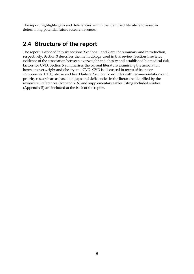The report highlights gaps and deficiencies within the identified literature to assist in determining potential future research avenues.

# **2.4 Structure of the report**

The report is divided into six sections. Sections 1 and 2 are the summary and introduction, respectively. Section 3 describes the methodology used in this review. Section 4 reviews evidence of the association between overweight and obesity and established biomedical risk factors for CVD. Section 5 summarises the current literature examining the association between overweight and obesity and CVD. CVD is discussed in terms of its major components: CHD, stroke and heart failure. Section 6 concludes with recommendations and priority research areas based on gaps and deficiencies in the literature identified by the reviewers. References (Appendix A) and supplementary tables listing included studies (Appendix B) are included at the back of the report.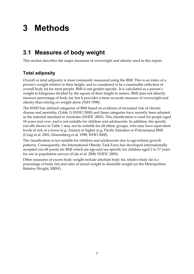# **3 Methods**

# **3.1 Measures of body weight**

This section describes the major measures of overweight and obesity used in this report.

# **Total adiposity**

Overall or total adiposity is most commonly measured using the BMI. This is an index of a person's weight relative to their height, and is considered to be a reasonable reflection of overall body fat for most people. BMI is not gender-specific. It is calculated as a person's weight in kilograms divided by the square of their height in metres. BMI does not directly measure percentage of body fat, but it provides a more accurate measure of overweight and obesity than relying on weight alone (NIH 1998).

The WHO has defined categories of BMI based on evidence of increased risk of chronic disease and mortality (Table 1) (WHO 2000) and these categories have recently been adopted as the national standard in Australia (NHDC 2003). This classification is used for people aged 18 years and over, and is not suitable for children and adolescents. In addition, the specific cut-offs shown in Table 1 may not be suitable for all ethnic groups, who may have equivalent levels of risk at a lower (e.g. Asians) or higher (e.g. Pacific Islanders or Polynesians) BMI (Craig et al. 2001; Deurenberg et al. 1998; WHO 2000).

The classification is not suitable for children and adolescents due to age-related growth patterns. Consequently, the International Obesity Task Force has developed internationally accepted cut-off points for BMI which are age-and sex-specific for children aged 2 to 17 years for use in population surveys (Cole et al. 2000; NHDC 2003).

Other measures of excess body weight include absolute body fat, relative body fat (i.e. percentage of body fat) and ratio of actual weight to desirable weight (or the Metropolitan Relative Weight, MRW).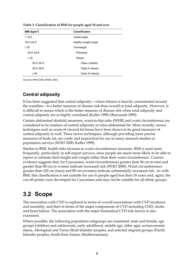| BMI ( $kg/m2$ ) | <b>Classification</b> |
|-----------------|-----------------------|
| < 18.5          | Underweight           |
| $18.5 - 24.9$   | Healthy weight range  |
| $\geq 25$       | Overweight            |
| $25.0 - 29.9$   | Preobese              |
| $\geq 30$       | Obese                 |
| $30.0 - 34.9$   | Class I obesity       |
| $35.0 - 39.9$   | Class II obesity      |
| $\geq 40$       | Class III obesity     |

**Table 1: Classification of BMI for people aged 18 and over** 

*Sources:* WHO 2000; NHDC 2003.

#### **Central adiposity**

It has been suggested that central adiposity—where fatness is heavily concentrated around the waistline—is a better measure of disease risk than overall or total adiposity. However, it is difficult to assess which is the better measure of disease risk when total adiposity and central adiposity are so highly correlated (Kuller 1999; Obarzanek 1999).

Certain abdominal skinfold measures, waist-to-hip ratio (WHR) and waist circumference are considered to be markers of central adiposity or intra-abdominal fat. More recently, newer techniques such as scans of visceral fat tissue have been shown to be good measures of central adiposity as well. These newer techniques, although providing more precise measures of body fat, are costly and impractical for use in many research studies or population surveys (WHO 2000; Kuller 1999).

Similar to BMI, health risks increase as waist circumference increases. BMI is used more frequently, particularly in self-report surveys, since people are much more likely to be able to report or estimate their height and weight rather than their waist circumference. Current evidence suggests that, for Caucasians, waist circumferences greater than 94 cm in men and greater than 80 cm in women indicate increased risk (WHO 2000). Waist circumferences greater than 102 cm (men) and 88 cm (women) indicate substantially increased risk. As with BMI, this classification is not suitable for use in people aged less than 18 years and, again, the cut-off points were developed for Caucasians and may not be suitable for all ethnic groups.

# **3.2 Scope**

The association with CVD is explored in terms of overall associations with CVD incidence and mortality, and then in terms of the major components of CVD including CHD, stroke and heart failure. The association with the major biomedical CVD risk factors is also examined.

Where possible, the following population subgroups are examined: male and female, age groups (children and adolescents, early adulthood, middle age, older age), socioeconomic status, Aboriginal and Torres Strait Islander peoples, and selected migrant groups (Pacific Islander peoples, South-East Asians, Mediterraneans).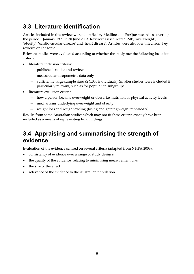# **3.3 Literature identification**

Articles included in this review were identified by Medline and ProQuest searches covering the period 1 January 1990 to 30 June 2003. Keywords used were 'BMI', 'overweight', 'obesity', 'cardiovascular disease' and 'heart disease'. Articles were also identified from key reviews on the topic.

Relevant studies were evaluated according to whether the study met the following inclusion criteria:

- literature inclusion criteria:
	- published studies and reviews
	- measured anthropometric data only
	- sufficiently large sample sizes (≥ 1,000 individuals). Smaller studies were included if particularly relevant, such as for population subgroups.
- literature exclusion criteria:
	- how a person became overweight or obese, i.e. nutrition or physical activity levels
	- mechanisms underlying overweight and obesity
	- weight loss and weight cycling (losing and gaining weight repeatedly).

Results from some Australian studies which may not fit these criteria exactly have been included as a means of representing local findings.

# **3.4 Appraising and summarising the strength of evidence**

Evaluation of the evidence centred on several criteria (adapted from NHFA 2003):

- consistency of evidence over a range of study designs
- the quality of the evidence, relating to minimising measurement bias
- the size of the effect
- relevance of the evidence to the Australian population.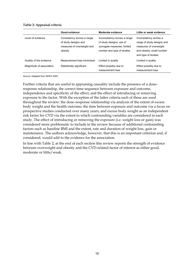#### **Table 2: Appraisal criteria**

|                          | Good evidence                                                                               | Moderate evidence                                                                                                     | Little or weak evidence                                                                                                            |
|--------------------------|---------------------------------------------------------------------------------------------|-----------------------------------------------------------------------------------------------------------------------|------------------------------------------------------------------------------------------------------------------------------------|
| Level of evidence        | Consistency across a range<br>of study designs and<br>measures of overweight and<br>obesity | Inconsistency across a range<br>of study designs; use of<br>surrogate measures; limited<br>number and type of studies | Inconsistency across a<br>range of study designs and<br>measures of overweight<br>and obesity; small number<br>and type of studies |
| Quality of the evidence  | Measurement bias minimised                                                                  | Limited in quality                                                                                                    | Limited in quality                                                                                                                 |
| Magnitude of association | Statistically significant                                                                   | Effect possibly due to<br>measurement bias                                                                            | Effect possibly due to<br>measurement bias                                                                                         |

*Source:* Adapted from NHFA 2003.

Further criteria that are useful in appraising causality include the presence of a dose– response relationship, the correct time sequence between exposure and outcome, independence and specificity of the effect, and the effect of introducing or removing exposure to the factor. With the exception of the latter criteria each of these are used throughout the review: the dose–response relationship via analysis of the extent of excess body weight and the health outcome; the time between exposure and outcome via a focus on prospective studies conducted over many years; and excess body weight as an independent risk factor for CVD via the extent to which confounding variables are considered in each study. The effect of introducing or removing the exposure (i.e. weight loss or gain) was considered more problematic to include in the review because of additional confounding factors such as baseline BMI and the extent, rate and duration of weight loss, gain or maintenance. The authors acknowledge, however, that this is an important criterion and, if considered, would add to the evidence for the association.

In line with Table 2, at the end of each section this review reports the strength of evidence between overweight and obesity and the CVD-related factor of interest as either good, moderate or little/weak.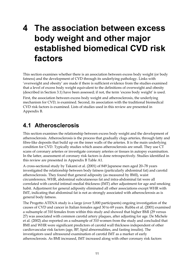# **4 The association between excess body weight and other major established biomedical CVD risk factors**

This section examines whether there is an association between excess body weight (or body fatness) and the development of CVD through its underlying pathology. Links with 'overweight and obesity' are made if there is sufficient evidence from the studies examined that a level of excess body weight equivalent to the definitions of overweight and obesity (described in Section 3.1) have been assessed; if not, the term 'excess body weight' is used.

First, the association between excess body weight and atherosclerosis, the underlying mechanism for CVD, is examined. Second, its association with the traditional biomedical CVD risk factors is examined. Lists of studies used in this review are presented in Appendix B.

# **4.1 Atherosclerosis**

This section examines the relationship between excess body weight and the development of atherosclerosis. Atherosclerosis is the process that gradually clogs arteries, through fatty and fibre-like deposits that build up on the inner walls of the arteries. It is the main underlying condition for CVD. Typically studies which assess atherosclerosis are small. They use CT scans of coronary arteries or investigate coronary arteries or tissues in autopsy examination. In the latter, assessment of coronary risk factors is done retrospectively. Studies identified in this review are presented in Appendix B Table A1.

A cross-sectional study by Takami et al. (2001) of 849 Japanese men aged 20–78 years investigated the relationship between body fatness (particularly abdominal fat) and carotid atherosclerosis. They found that general adiposity (as measured by BMI), waist circumference, WHR, abdominal subcutaneous fat and intra-abdominal fat were all correlated with carotid intimal–medial thickness (IMT) after adjustment for age and smoking habit. Adjustment for general adiposity eliminated all other associations except WHR with IMT, indicating that abdominal fat is not as strongly associated with atherosclerosis as is general body fatness.

The Progetto ATENA study is a large (over 5,000 participants) ongoing investigation of the causes of CVD and cancer in Italian females aged 30 to 69 years. Rubba et al. (2001) examined a subsample of 310 females from within this study and showed that higher BMI (29 versus 27) was associated with common carotid artery plaques, after adjusting for age. De Michele et al. (2002) also reported on a subsample of 310 women from the study and concluded that BMI and WHR were significant predictors of carotid wall thickness independent of other cardiovascular risk factors (age, BP, lipid abnormalities, and fasting insulin). The investigators used ultrasound examination of carotid IMT as a marker of early atherosclerosis. As BMI increased, IMT increased along with other coronary risk factors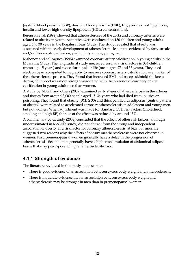(systolic blood pressure (SBP), diastolic blood pressure (DBP), triglycerides, fasting glucose, insulin and lower high-density lipoprotein (HDL) concentrations).

Berenson et al. (1992) showed that atheroscleroses of the aorta and coronary arteries were related to obesity in youth. Autopsies were conducted on 150 children and young adults aged 6 to 30 years in the Bogalusa Heart Study. The study revealed that obesity was associated with the early development of atherosclerotic lesions as evidenced by fatty streaks and/or fibrous plaque lesions, particularly among young men.

Mahoney and colleagues (1996) examined coronary artery calcification in young adults in the Muscatine Study. The longitudinal study measured coronary risk factors in 384 children (mean age 15 years) and twice during adult life (mean ages 27 and 33 years). They used electron beam computed tomography to measure coronary artery calcification as a marker of the atherosclerotic process. They found that increased BMI and triceps skinfold thickness during childhood was more strongly associated with the presence of coronary artery calcification in young adult men than women.

A study by McGill and others (2002) examined early stages of atherosclerosis in the arteries and tissues from around 3,000 people aged 15–34 years who had died from injuries or poisoning. They found that obesity ( $BMI \geq 30$ ) and thick panniculus adiposus (central pattern of obesity) were related to accelerated coronary atherosclerosis in adolescent and young men, but not women. When adjustment was made for standard CVD risk factors (cholesterol, smoking and high BP) the size of the effect was reduced by around 15%.

A commentary by Grundy (2002) concluded that the effects of other risk factors, although underestimated in McGill's study, did not detract from the strong and independent association of obesity as a risk factor for coronary atherosclerosis, at least for men. He suggested two reasons why the effects of obesity on atherosclerosis were not observed in women. First, premenopausal women generally have a delay in the progression of atherosclerosis. Second, men generally have a higher accumulation of abdominal adipose tissue that may predispose to higher atherosclerotic risk.

# **4.1.1 Strength of evidence**

The literature reviewed in this study suggests that:

- There is good evidence of an association between excess body weight and atherosclerosis.
- There is moderate evidence that an association between excess body weight and atherosclerosis may be stronger in men than in premenopausal women.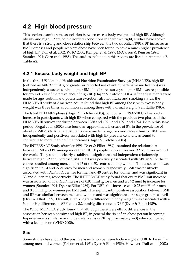# **4.2 High blood pressure**

This section examines the association between excess body weight and high BP. Although obesity and high BP are both disorders/conditions in their own right, studies have shown that there is a strong and close relationship between the two (Frohlich 1991). BP increases as BMI increases and people who are obese have been found to have a much higher prevalence of high BP (Doll et al. 2002; WHO 2000; Kemper et al. 1999; McCarron & Reusser 1996; Stamler 1991; Garn et al. 1988). The studies included in this review are listed in Appendix B Table A2.

# **4.2.1 Excess body weight and high BP**

In the three US National Health and Nutrition Examination Surveys (NHANES), high BP (defined as 140/90 mmHg or greater or reported use of antihypertensive medication) was independently associated with higher BMI. In all three surveys, higher BMI was responsible for around 30% of the prevalence of high BP (Hajjar & Kotchen 2003). After adjustments were made for age, sodium and potassium excretion, alcohol intake and smoking status, the NHANES II study of American adults found that high BP among those with excess body weight was three times as common as among those with normal weight (van Itallie 1985).

The latest NHANES phase (Hajjar & Kotchen 2003), conducted in 1999–2000, observed an increase in participants with high BP when compared with the previous two phases of the NHANES III survey conducted between 1988 and 1991, and 1991 and 1994. Within this same period, Flegal et al. (2002) also found an approximate increase of 8% in the prevalence of obesity (BMI  $\geq$  30). After adjustments were made for age, sex and race/ethnicity, BMI was independently and positively associated with high BP prevalence and was found to contribute to more than half the increase (Hajjar & Kotchen 2003).

The INTERSALT Study (Stamler 1991; Dyer & Elliot 1989) examined the relationship between BMI and BP among more than 10,000 people in 52 centres and 32 countries around the world. They found a clearly established, significant and independent relationship between high BP and increased BMI. BMI was positively associated with SBP in 51 of the 52 centres studied among men, and in 47 of the 52 centres among women. This association was significant in 24 and 27 centres for men and women, respectively. BMI was positively associated with DBP in 51 centres for men and 49 centres for women and was significant in 33 and 31 centres, respectively. The INTERSALT study found that every BMI unit increase was associated with an SBP increase of 0.91 mmHg for men and a 0.72 mmHg increase for women (Stamler 1991; Dyer & Elliot 1989). For DBP, this increase was 0.75 mmHg for men and 0.5 mmHg for women per BMI unit. This significantly positive association between BMI and BP was similar between men and women and was significant across age groups as well (Dyer & Elliot 1989). Overall, a ten kilogram difference in body weight was associated with a 3.0 mmHg difference in SBP and a 2.2 mmHg difference in DBP (Dyer & Elliot 1989).

The WHO MONICA study found that although there were ethnic differences in the association between obesity and high BP, in general the risk of an obese person becoming hypertensive is similar worldwide (relative risk (RR) approximately 2–3) when compared with a lean person (WHO 2000).

#### **Sex**

Some studies have found the positive association between body weight and BP to be similar among men and women (Folsom et al. 1991; Dyer & Elliot 1989). However, Doll et al. (2002)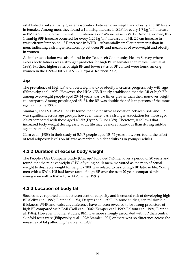established a substantially greater association between overweight and obesity and BP levels in females. Among men, they found a 1 mmHg increase in SBP for every 1.7 kg/m<sup>2</sup> increase in BMI, 4.5 cm increase in waist circumference or 3.4% increase in WHR. Among women, this 1 mmHg SBP increase occurred for every 1.25 kg/m2 increase in BMI, 2.5 cm increase in waist circumference, or 1.8% increase in WHR—substantially smaller increments than in men, indicating a stronger relationship between BP and measures of overweight and obesity in women.

A similar association was also found in the Tecumseh Community Health Survey where excess body fatness was a stronger predictor for high BP in females than males (Garn et al. 1988). Further, higher rates of high BP and lower rates of BP control were found among women in the 1999–2000 NHANES (Hajjar & Kotchen 2003).

#### **Age**

The prevalence of high BP and overweight and/or obesity increases progressively with age (Filipovsky et al. 1993). However, the NHANES II study established that the RR of high BP among overweight people aged 20–44 years was 5.6 times greater than their non-overweight counterparts. Among people aged 45–74, the RR was double that of lean persons of the same age (van Itallie 1985).

Similarly, the INTERSALT study found that the positive association between BMI and BP was significant across age groups; however, there was a stronger association for those aged 20–39 compared with those aged 40–59 (Dyer & Elliot 1989). Therefore, it follows that increased body weight during early adult life may be more hazardous than during middle age in relation to BP.

Garn et al. (1988) in their study of 5,507 people aged 15–75 years, however, found the effect of total adiposity levels on BP was as marked in older adults as in younger adults.

# **4.2.2 Duration of excess body weight**

The People's Gas Company Study (Chicago) followed 746 men over a period of 20 years and found that the relative weight (RW) of young adult men, measured as the ratio of actual weight to desirable weight for height x 100, was related to risk of high BP later in life. Young men with a RW < 105 had lower rates of high BP over the next 20 years compared with young men with a RW = 105–114 (Stamler 1991).

# **4.2.3 Location of body fat**

Studies have reported a link between central adiposity and increased risk of developing high BP (Selby et al. 1989; Blair et al. 1984; Despres et al. 1990). In some studies, central skinfold thickness, WHR and waist circumference have all been revealed to be strong predictors of high BP compared with BMI (Doll et al. 2002; Kemper et al. 1999; Folsom et al. 1991; Blair et al. 1984). However, in other studies, BMI was more strongly associated with BP than central skinfold tests were (Filipovsky et al. 1993; Stamler 1991) or there was no difference across the measures of fat patterning (Garn et al. 1988).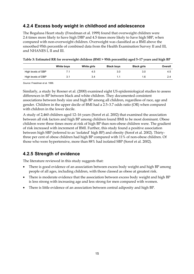## **4.2.4 Excess body weight in childhood and adolescence**

The Bogalusa Heart study (Freedman et al. 1999) found that overweight children were 2.4 times more likely to have high DBP and 4.5 times more likely to have high SBP, when compared with non-overweight children. Overweight was classified as a BMI above the smoothed 95th percentile of combined data from the Health Examination Survey II and III, and NHANES I, II and III.

|                    | White boys | White girls | <b>Black boys</b> | <b>Black girls</b> | Overall |
|--------------------|------------|-------------|-------------------|--------------------|---------|
| High levels of SBP |            | 4.5         | 3.0               | 3.0                | 4.5     |
| High levels of DBP | 3.1        | 3.4         | 1.1               | 1.6                |         |

| Table 3: Estimated RR for overweight children (BMI > 95th percentile) aged 5-17 years and high BP |
|---------------------------------------------------------------------------------------------------|
|---------------------------------------------------------------------------------------------------|

*Source*: Freedman et al. 1999.

Similarly, a study by Rosner et al. (2000) examined eight US epidemiological studies to assess differences in BP between black and white children. They documented consistent associations between body size and high BP among all children, regardless of race, age and gender. Children in the upper decile of BMI had a 2.5–3.7 odds ratio (OR) when compared with children in the lower decile.

A study of 2,460 children aged 12–16 years (Sorof et al. 2002) that examined the association between all risk factors and high BP among children found BMI to be most dominant. Obese children were three times more at risk of high BP than non-obese children were. The gradient of risk increased with increment of BMI. Further, this study found a positive association between high SBP (referred to as 'isolated' high BP) and obesity (Sorof et al. 2002). Thirtythree per cent of obese children had high BP compared with 11% of non-obese children. Of those who were hypertensive, more than 88% had isolated SBP (Sorof et al. 2002).

# **4.2.5 Strength of evidence**

The literature reviewed in this study suggests that:

- There is good evidence of an association between excess body weight and high BP among people of all ages, including children, with those classed as obese at greatest risk.
- There is moderate evidence that the association between excess body weight and high BP is less strong with increasing age and less strong for men compared with women.
- There is little evidence of an association between central adiposity and high BP.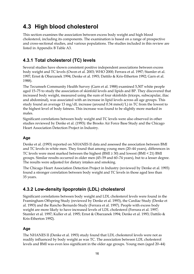# **4.3 High blood cholesterol**

This section examines the association between excess body weight and high blood cholesterol, including its components. The examination is based on a range of prospective and cross-sectional studies, and various populations. The studies included in this review are listed in Appendix B Table A3.

# **4.3.1 Total cholesterol (TC) levels**

Several studies have shown consistent positive independent associations between excess body weight and TC levels (Owen et al. 2003; WHO 2000; Ferrara et al. 1997; Stamler et al. 1997; Ernst & Obarzanek 1994; Denke et al. 1993; Dattilo & Kris-Etherton 1992; Garn et al. 1988).

The Tecumseh Community Health Survey (Garn et al. 1988) examined 5,507 white people aged 15–75 to study the association of skinfold levels and lipids and BP. They discovered that increased body weight, measured using the sum of four skinfolds (triceps, subscapular, iliac and abdominal), was associated with an increase in lipid levels across all age groups. This study found an average 13 mg/dL increase (around 0.34 mmol/L) in TC from the lowest to the highest level of body fatness. This increase was found to be slightly more marked in males.

Significant correlations between body weight and TC levels were also observed in other studies reviewed by Denke et al. (1993): the Brooks Air Force Base Study and the Chicago Heart Association Detection Project in Industry.

#### **Age**

Denke et al. (1993) reported on NHANES II data and assessed the association between BMI and TC levels in white men. They found that among young men (20–44 years), differences in TC levels were most marked between the highest (BMI ≥ 30) and lowest (BMI < 21) BMI groups. Similar results occurred in older men (45–59 and 60–74 years), but to a lesser degree. The results were adjusted for dietary intakes and smoking.

The Chicago Heart Association Detection Project in Industry (reviewed by Denke et al. 1993) found a stronger correlation between body weight and TC levels in those aged less than 35 years.

# **4.3.2 Low-density lipoprotein (LDL) cholesterol**

Significant correlations between body weight and LDL cholesterol levels were found in the Framingham Offspring Study (reviewed by Denke et al. 1993), the Cardiac Study (Denke et al. 1993) and the Rancho Bernardo Study (Ferrara et al. 1997). People with excess body weight are more likely to have increased levels of LDL cholesterol (Ferrara et al. 1997; Stamler et al. 1997; Kuller et al. 1995; Ernst & Obarzanek 1994; Denke et al. 1993; Dattilo & Kris-Etherton 1992).

#### **Age**

The NHANES II (Denke et al. 1993) study found that LDL cholesterol levels were not as readily influenced by body weight as was TC. The association between LDL cholesterol levels and BMI was even less significant in the older age groups. Young men (aged 20–44)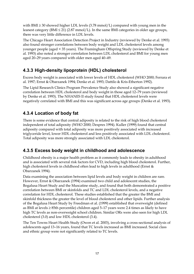with BMI  $\geq$  30 showed higher LDL levels (3.78 mmol/L) compared with young men in the leanest category (BMI  $\leq$  21) (2.87 mmol/L). In the same BMI categories in older age groups, there was very little difference in LDL levels.

The Chicago Heart Association Detection Project in Industry (reviewed by Denke et al. 1993) also found stronger correlations between body weight and LDL cholesterol levels among younger people (aged < 35 years). The Framingham Offspring Study (reviewed by Denke et al. 1993) also noted a stronger correlation between LDL cholesterol and BMI for young men aged 20–29 years compared with older men aged 40–49.

# **4.3.3 High-density lipoprotein (HDL) cholesterol**

Excess body weight is associated with lower levels of HDL cholesterol (WHO 2000; Ferrara et al. 1997; Ernst & Obarzanek 1994; Denke et al. 1993; Dattilo & Kris-Etherton 1992).

The Lipid Research Clinics Program Prevalence Study also showed a significant negative correlation between HDL cholesterol and body weight in those aged 12–79 years (reviewed by Denke et al. 1993). The NHANES II study found that HDL cholesterol levels were negatively correlated with BMI and this was significant across age groups (Denke et al. 1993).

# **4.3.4 Location of body fat**

There is some evidence that central adiposity is related to the risk of high blood cholesterol independent of total adiposity (WHO 2000; Despres 1994). Kuller (1999) found that central adiposity compared with total adiposity was more positively associated with increased triglyceride level, lower HDL cholesterol and less positively associated with LDL cholesterol. Total adiposity was more strongly associated with LDL cholesterol.

# **4.3.5 Excess body weight in childhood and adolescence**

Childhood obesity is a major health problem as it commonly leads to obesity in adulthood and is associated with several risk factors for CVD, including high blood cholesterol. Further, high cholesterol levels in childhood often lead to high levels in adulthood (Ernst & Obarzanek 1994).

Data examining the association between lipid levels and body weight in children are rare. However, Ernst & Obarzanek (1994) examined two child and adolescent studies, the Bogalusa Heart Study and the Muscatine study, and found that both demonstrated a positive correlation between BMI or skinfolds and TC and LDL cholesterol levels, and a negative correlation for HDL cholesterol. These studies established that the greater the BMI and skinfold thickness the greater the level of blood cholesterol and other lipids. Further analysis of the Bogalusa Heart Study by Freedman et al. (1999) established that overweight (defined as BMI at levels ≥ 85th percentile) children aged 5–17 years were 2.4 times as likely to have high TC levels as non-overweight school children. Similar ORs were also seen for high LDL cholesterol (3.0) and low HDL cholesterol (3.4).

The Ten Towns Heart Health Study (Owen et al. 2003), involving a cross-sectional analysis of adolescents aged 13–16 years, found that TC levels increased as BMI increased. Social class and ethnic group were not significantly related to TC levels.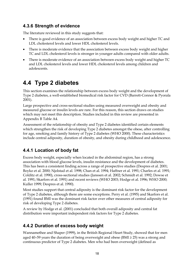## **4.3.6 Strength of evidence**

The literature reviewed in this study suggests that:

- There is good evidence of an association between excess body weight and higher TC and LDL cholesterol levels and lower HDL cholesterol levels.
- There is moderate evidence that the association between excess body weight and higher TC and LDL cholesterol levels is stronger in younger adults compared with older adults.
- There is moderate evidence of an association between excess body weight and higher TC and LDL cholesterol levels and lower HDL cholesterol levels among children and adolescents.

# **4.4 Type 2 diabetes**

This section examines the relationship between excess body weight and the development of Type 2 diabetes, a well-established biomedical risk factor for CVD (Barrett-Connor & Pyorala 2001).

Large prospective and cross-sectional studies using measured overweight and obesity and measured glucose or insulin levels are rare. For this reason, this section draws on studies which may not meet this description. Studies included in this review are presented in Appendix B Table A4.

Assessment of the relationship of obesity and Type 2 diabetes identified certain elements which strengthen the risk of developing Type 2 diabetes amongst the obese, after controlling for age, smoking and family history of Type 2 diabetes (WHO 2000). These characteristics include central adiposity, duration of obesity, and obesity during childhood and adolescence.

# **4.4.1 Location of body fat**

Excess body weight, especially when located in the abdominal region, has a strong association with blood glucose levels, insulin resistance and the development of diabetes. This has been a consistent finding across a range of prospective studies (Despres et al. 2001; Boyko et al. 2000; Njolstad et al. 1998; Chan et al. 1994; Haffner et al. 1991; Charles et al. 1991; Colditz et al. 1990), cross-sectional studies (Janssen et al. 2002; Schmidt et al. 1992; Dowse et al. 1991; Skarfors et al. 1991) and recent reviews (WHO 2003; Hodge et al. 1996; WHO 2000; Kuller 1999; Despres et al. 1990).

Most studies support that central adiposity is the dominant risk factor for the development of Type 2 diabetes, although there are some exceptions. Perry et al. (1995) and Skarfors et al. (1991) found BMI was the dominant risk factor over other measures of central adiposity for risk of developing Type 2 diabetes.

A review by Hodge et al. (2001) concluded that both overall adiposity and central fat distribution were important independent risk factors for Type 2 diabetes.

# **4.4.2 Duration of excess body weight**

Wannamethee and Shaper (1999), in the British Regional Heart Study, showed that for men aged 40–59 years the duration of being overweight and obese ( $BMI \geq 25$ ) was a strong and continuous predictor of Type 2 diabetes. Men who had been overweight (defined as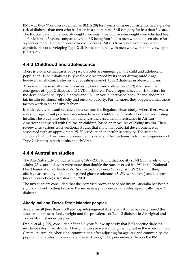BMI = 25.0–27.9) or obese (defined as BMI  $\geq$  28) for 5 years or more consistently had a greater risk of diabetes than men who had been in a comparable BMI category for less than 5 years. The RR compared with normal-weight men was threefold for overweight men who had been so for less than 5 years, compared with a RR being fourfold in men who had been obese for 5 years or more. Men who were markedly obese (BMI > 30) for 5 years or more had an eightfold risk of developing Type 2 diabetes compared with men who were not overweight  $(BMI < 25)$ .

### **4.4.3 Childhood and adolescence**

There is evidence that cases of Type 2 diabetes are emerging in the child and adolescent population. Type 2 diabetes is typically characterised by its onset during middle age; however, small clinical studies are revealing cases of Type 2 diabetes in obese children.

A review of these small clinical studies by Goran and colleagues (2003) discussed the emergence of Type 2 diabetes and CVD in children. They proposed several risk factors for the development of Type 2 diabetes and CVD in youth: increased body fat and abdominal fat, insulin resistance, ethnicity and onset of puberty. Furthermore, they suggested that these factors work in an additive fashion.

In their review, the authors cite evidence from the Bogalusa Heart study, where there was a weak but significant positive association between children with central body fat and fasting insulin. The study also found that there was increased insulin resistance in African-Americans compared with Caucasian children, based on measures of fasting insulin. Their review cites various cross-sectional studies that show that pubertal development was associated with an approximate 25–30% reduction in insulin sensitivity. The authors conclude that further research is required to ascertain the mechanisms for the progression of Type 2 diabetes in both adults and children.

### **4.4.4 Australian studies**

The AusDiab study conducted during 1999–2000 found that obesity ( $BMI \geq 30$ ) levels among adults (25 years and over) were more than double the rate observed in 1980 in the National Heart Foundation of Australia's Risk Factor Prevalence Survey (AIHW 2002). Further, obesity was strongly linked to impaired glucose tolerance (31.5% were obese) and diabetes (44.4% were obese) (Dunstan et al. 2001).

The investigators concluded that the increased prevalence of obesity in Australia has been a significant contributing factor in the increasing prevalence of diabetes, specifically Type 2 diabetes.

#### **Aboriginal and Torres Strait Islander peoples**

Several small (less than 1,000 participants) regional Australian studies have examined the association of excess body weight and the prevalence of Type 2 diabetes in Aboriginal and Torres Strait Islander peoples.

Daniel et al. (1999) concluded after an 8-year follow-up study that BMI-specific diabetes incidence rates in Australian Aboriginal people were among the highest in the world. In two Central Australian Aboriginal communities, after adjusting for age, sex and community, the population diabetes incidence rate was 20.3 cases/1,000 person-years. Across the BMI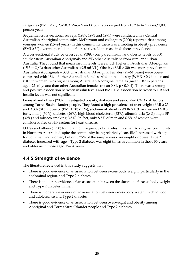categories (BMI: < 25; 25–28.9; 29–32.9 and ≥ 33), rates ranged from 10.7 to 47.2 cases/1,000 person-years.

Sequential cross-sectional surveys (1987, 1991 and 1995) were conducted in a Central Australian Aboriginal community. McDermott and colleagues (2000) reported that among younger women (15–24 years) in this community there was a trebling in obesity prevalence (BMI ≥ 30) over the period and a four- to fivefold increase in diabetes prevalence.

A cross-sectional study by Guest et al. (1993) compared insulin and obesity levels of 300 southeastern Australian Aboriginals and 553 other Australians from rural and urban Australia. They found that mean insulin levels were much higher in Australian Aboriginals (15.5 mU/L) than other Australians (9.5 mU/L). Obesity (BMI > 30) was more prevalent in Australian Aboriginals—38% of Australian Aboriginal females (25–64 years) were obese compared with 18% of other Australian females. Abdominal obesity (WHR > 0.9 in men and > 0.8 in women) was higher among Australian Aboriginal females (mean 0.87 in persons aged 25–64 years) than other Australian females (mean  $0.81$ ,  $p \le 0.001$ ). There was a strong and positive association between insulin levels and BMI. The association between WHR and insulin levels was not significant.

Leonard and others (2002) investigated obesity, diabetes and associated CVD risk factors among Torres Strait Islander people. They found a high prevalence of overweight (BMI ≥ 25 and < 30) (81%), obesity (BMI  $\geq$  30) (51%), abdominal obesity (WHR  $>$  0.9 for men and  $>$  0.8 for women) (70%), diabetes (26%), high blood cholesterol (33%), albuminuria (28%), high BP (32%) and tobacco smoking (45%). In fact, only 8.5% of men and 6.5% of women were considered free of risk factors for heart disease.

O'Dea and others (1990) found a high frequency of diabetes in a small Aboriginal community in Northern Australia despite the community being relatively lean. BMI increased with age for both men and women, but only 25% of the sample was overweight or obese. Type 2 diabetes increased with age—Type 2 diabetes was eight times as common in those 35 years and older as in those aged 15–34 years.

# **4.4.5 Strength of evidence**

The literature reviewed in this study suggests that:

- There is good evidence of an association between excess body weight, particularly in the abdominal region, and Type 2 diabetes.
- There is moderate evidence of an association between the duration of excess body weight and Type 2 diabetes in men.
- There is moderate evidence of an association between excess body weight in childhood and adolescence and Type 2 diabetes.
- There is good evidence of an association between overweight and obesity among Aboriginal and Torres Strait Islander people and Type 2 diabetes.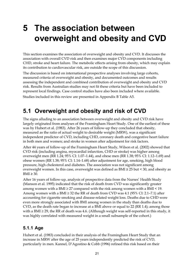# **5 The association between overweight and obesity and CVD**

This section examines the association of overweight and obesity and CVD. It discusses the association with overall CVD risk and then examines major CVD components including CHD, stroke and heart failure. The metabolic effects arising from obesity, which may explain its contribution to cardiovascular risk, are outside the scope of this discussion.

The discussion is based on international prospective analyses involving large cohorts, measured criteria of overweight and obesity, and documented outcomes and results assessing the independent and combined contribution of overweight and obesity and CVD risk. Results from Australian studies may not fit these criteria but have been included to represent local findings. Case control studies have also been included where available.

Studies included in this review are presented in Appendix B Table A5.

# **5.1 Overweight and obesity and risk of CVD**

The signs alluding to an association between overweight and obesity and CVD risk have largely originated from analyses of the Framingham Heart Study. One of the earliest of these was by Hubert et al. (1983). After 26 years of follow-up they concluded that obesity, measured as the ratio of actual weight to desirable weight (MRW), was a significant independent predictor of CVD, including CHD, coronary death and congestive heart failure in both men and women; and stroke in women after adjustment for risk factors.

After 44 years of follow-up of the Framingham Heart Study, Wilson et al. (2002) showed that CVD risk (including angina, myocardial infarction, CHD or stroke) was higher among overweight men (RR 1.24; 95% CI: 1.07–1.44), and obese men (RR 1.38; 95% CI: 1.12–1.69) and obese women (RR 1.38; 95% CI: 1.14–1.68) after adjustment for age, smoking, high blood pressure, high cholesterol and diabetes. The association was not significant among overweight women. In this case, overweight was defined as BMI ≥ 25 but < 30, and obesity as  $BMI \geq 30$ .

After 16 years of follow-up, analysis of prospective data from the Nurses' Health Study (Manson et al. 1995) indicated that the risk of death from CVD was significantly greater among women with a BMI  $\geq$  27 compared with the risk among women with a BMI < 19. Among women with a BMI  $\geq$  32 the RR of death from CVD was 4.1 (95% CI: 2.1–7.1) after accounting for cigarette smoking and disease-related weight loss. Deaths due to CHD were even more strongly associated with BMI among women in the study than deaths due to CVD, as the death rate began to increase at a BMI above or equal to 22 (RR 1.4); among those with a BMI  $\geq$  29, the RR of death was 4.6. (Although weight was self-reported in this study, it was highly correlated with measured weight in a small subsample of the cohort.)

### **5.1.1 Age**

Hubert et al. (1983) concluded in their analysis of the Framingham Heart Study that an increase in MRW after the age of 25 years independently predicted the risk of CVD, particularly in men. Kannel, D'Agostino & Cobb (1996) refined this risk based on their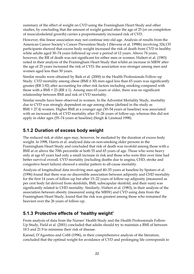summary of the effect of weight on CVD using the Framingham Heart Study and other studies, by concluding that the amount of weight gained after the age of 25 (or on completion of musculoskeletal growth) carries a proportionately increased risk of CVD.

However, this linear association may not continue into old age. Analysis of results from the American Cancer Society's Cancer Prevention Study I (Stevens et al. 1998b) involving 324,135 participants showed that excess body weight increased the risk of death from CVD in healthy white adults aged 30–74 years followed up over a period of 12 years. Above 74 years, however, the RR of death was not significant for either men or women. Hubert et al. (1983) noted in their analysis of the Framingham Heart Study that whilst an increase in MRW after the age of 25 years increased the risk of CVD, the association was stronger among men and women aged less than 50 years.

Similar results were obtained by Baik et al. (2000) in the Health Professionals Follow-up Study. CVD mortality among obese (BMI ≥ 30) men aged less than 65 years was significantly greater (RR 3.92) after accounting for other risk factors including smoking compared with those with a BMI < 23 ( $RR \le 1$ ). Among men 65 years or older, there was no significant relationship between BMI and risk of CVD mortality.

Similar results have been observed in women. In the Adventist Mortality Study, mortality due to CVD was strongly dependent on age among obese (defined in the study as BMI > 27.4) women. Higher BMI at a younger age (30–54 years at baseline) was associated with an increased risk of CVD mortality after 15–26 years of follow-up, whereas this did not apply in older ages (55–74 years at baseline) (Singh & Linstead 1998).

# **5.1.2 Duration of excess body weight**

The reduced risk at older ages may, however, be mediated by the duration of excess body weight. In 1998, Harris et al. analysed data on non-smoking older persons in the Framingham Heart Study and concluded that risk of death was twofold among those with a BMI at or above the 70th percentile at both 55 and 65 years of age. Those who were heavy only at age 65 years had only a small increase in risk and those who were thin over time had better survival overall. CVD mortality (including deaths due to angina, CHD, stroke and congestive heart failure) showed a similar pattern to all-cause mortality.

Analysis of longitudinal data involving men aged 40–55 years at baseline by Spataro et al. (1996) found that there was no discernible association between adiposity and CHD mortality for the first 14 years of follow-up but after 15–22 years of follow-up adiposity (measured as per cent body fat derived from skinfolds, BMI, subscapular skinfold, and their sum) was significantly related to CHD mortality. Similarly, Hubert et al. (1983), in their analysis of the association between obesity (measured using the MRW) and CVD using data from the Framingham Heart Study, found that the risk was greatest among those who remained the heaviest over the 26 years of follow-up.

### **5.1.3 Protective effects of 'healthy weight'**

From analysis of data from the Nurses' Health Study and the Health Professionals Follow-Up Study, Field et al. (2001) concluded that adults should try to maintain a BMI of between 18.5 and 21.9 to minimise their risk of disease.

Kannel, D'Agostino and Cobb (1996), in their comprehensive analysis of the literature, concluded that the optimal weight for avoidance of CVD and prolonging life corresponds to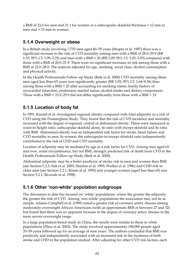a BMI of 22.6 for men and 21.1 for women or a subscapular skinfold thickness < 12 mm in men and < 15 mm in women.

# **5.1.4 Overweight or obese**

In a British study involving 7,735 men aged 40–59 years (Shaper et al. 1997) there was a significant increase in the risk of CVD mortality among men with a BMI of 28.0–29.9 (RR 1.57; 95% CI: 1.09–2.25) and men with a BMI ≥ 30 (RR 2.09; 95% CI: 1.45–3.03) compared with those with a BMI of 20.0–21.9. There were no significant increases in risk among those with a BMI of 22.0–28.0. The analysis adjusted for age, smoking, social class, alcohol consumption and physical activity.

In the Health Professionals Follow-up Study (Baik et al. 2000) CVD mortality among obese men aged less than 65 years was significantly greater (RR 3.92; 95% CI: 1.64–9.36) than among those with a BMI < 23 after accounting for smoking status, family history of myocardial infarction, profession, marital status, alcohol intake and dietary components. Those with a BMI =  $23.0-29.9$  did not differ significantly from those with a BMI <  $23.$ 

# **5.1.5 Location of body fat**

In 1991, Kannel et al. investigated regional obesity compared with total adiposity as a risk of CVD using the Framingham Study. They found that the risk of CVD incidence and mortality increased with the degree of regional, central or abdominal obesity. These were measured as waist-to-height ratio, subscapular skinfold alone, its ratio with triceps skinfold and its ratio with BMI. Abdominal obesity was an independent risk factor for stroke, heart failure and CVD mortality in men. In women, the subscapular-to-triceps skinfold ratio independently contributed to the risk of CHD and CVD mortality.

Location of adiposity may be mediated by age as a risk factor for CVD. Among men aged 65 and over, waist circumference, but not BMI, strongly predicted risk of death from CVD in the Health Professionals Follow-up Study (Baik et al. 2000).

Abdominal adiposity may be a better predictor of stroke risk in men and women than BMI (see Section 5.2.3; Suk et al. 2003; Shinton et al. 1995; Walker et al. 1996) and CHD risk in older men (see Section 5.2.1; Rimm at al. 1995) and younger women (aged less than 65) (see Section 5.2.1; Rexrode et al. 1998).

### **5.1.6 Other 'non-white' population subgroups**

The discussion to date has focused on 'white' populations, where the greater the adiposity the greater the risk of CVD. Among 'non-white' populations the association may not be as simple. Adams-Campbell et al. (1995) noted a greater risk of coronary artery disease among moderately overweight African-Americans (with an approximate BMI of between 27 and 32) but found that there was no apparent increase in the degree of coronary artery disease in the more severe overweight range.

In a large population-based study in China, the results were similar to those in white populations (Zhou et al. 2002). The study involved approximately 100,000 people aged 35–59 years followed up for an average of nine years. The authors concluded that BMI was positively and independently associated with an increased risk in the incidence of both stroke and CHD in the population studied. After adjusting for other CVD risk factors, each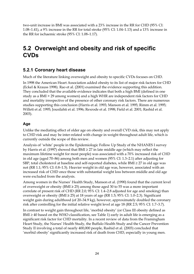two-unit increase in BMI was associated with a 23% increase in the RR for CHD (95% CI: 1.08–1.41), a 9% increase in the RR for total stroke (95% CI: 1.04–1.13) and a 13% increase in the RR for ischaemic stroke (95% CI: 1.08–1.17).

# **5.2 Overweight and obesity and risk of specific CVDs**

### **5.2.1 Coronary heart disease**

Much of the literature linking overweight and obesity to specific CVDs focuses on CHD.

In 1998 the American Heart Association added obesity to its list of major risk factors for CHD (Eckel & Krauss 1998). Rao et al. (2001) examined the evidence supporting this addition. They concluded that the available evidence indicates that both a high BMI (defined in one study as a BMI > 29 among women) and a high WHR are independent risk factors for CHD and mortality irrespective of the presence of other coronary risk factors. There are numerous studies supporting this conclusion (Harris et al. 1993; Manson et al. 1995; Rimm et al. 1995; Willett et al. 1995; Jousilahti et al. 1996; Rexrode et al. 1998; Field et al. 2001; Rashid et al. 2003).

#### **Age**

Unlike the mediating effect of older age on obesity and overall CVD risk, this may not apply to CHD risk and may be inter-related with change in weight throughout adult life, which is currently outside the scope of this review.

Analysis of 'white' people in the Epidemiologic Follow Up Study of the NHANES I survey by Harris et al. (1997) showed that BMI ≥ 27 in late middle age (which may reflect the maximum lifetime weight for most people) was associated with a 70% increased risk of CHD in old age (aged 70–86) among both men and women (95% CI: 1.3–2.1) after adjusting for SBP, total cholesterol at baseline and self-reported diabetes, while BMI ≥ 27 in old age was not (RR 1.1; 95% CI: 0.8–1.5). Heavier weight in old age was, however, associated with an increased risk of CHD once those with substantial weight loss between middle and old age were excluded from the analysis.

Among women in the Nurses' Health Study, Manson et al. (1990) found that the current level of overweight or obesity ( $BMI \geq 25$ ) among those aged 30 to 55 was a more important correlate of present risk of CHD (RR 2.0; 95% CI: 1.4–2.8 adjusted for age and smoking) than overweight or obesity (BMI  $\geq$  25) at 18 years of age (RR 1.5; 95% CI: 1.0–2.3). Significant weight gain during adulthood (of 20–34.9 kg), however, approximately doubled the coronary risk after controlling for the initial relative weight level at age 18 (RR 2.5; 95% CI: 1.7–3.7).

In contrast to weight gain throughout life, 'morbid obesity' (or Class III obesity defined as BMI  $\geq$  40 based on the WHO classification, see Table 1) early in adult life is emerging as a significant risk factor for CHD mortality. In a recent review of data from the Framingham Heart Study, the Nurses' Health Study, the Buffalo Health Study and the Cancer Prevention Study II involving a total of nearly 400,000 people, Rashid et al. (2003) concluded that 'morbid obesity' significantly increased risk of death from CHD, especially in young men.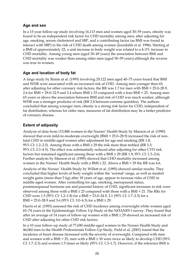#### **Age and sex**

In a 15-year follow-up study involving 16,113 men and women aged 30–59 years, obesity was found to be an independent risk factor for CHD mortality among men, after adjusting for age, smoking, serum cholesterol and SBP, and a contributing factor (as BMI was found to interact with SBP) to the risk of CHD death among women (Jousilahti et al. 1996). Starting at a BMI of approximately 22, a unit increase in body weight was related to a 4–5% increase in CHD mortality. Among young men (aged 30–49 years) the association between BMI and CHD mortality was weaker than among older men (aged 50–59 years) although the reverse was true in women.

#### **Age and location of body fat**

A large study by Rimm at al. (1995) involving 29,122 men aged 40–75 years found that BMI and WHR were associated with an increased risk of CHD. Among men younger than 65, after adjusting for other coronary risk factors, the RR was 1.7 for men with BMI = 25.0–28.9, 2.6 for BMI = 29.0–32.9 and 3.4 where BMI  $\geq$  33 compared with a lean BMI < 23. Among men 65 years or above the association between BMI and risk of CHD was much weaker, although WHR was a stronger predictor of risk (RR 2.8 between extreme quintiles). The authors concluded that among younger men, obesity is a strong risk factor for CHD, independent of fat distribution, whereas for older men, measures of fat distribution may be a better predictor of coronary disease.

#### **Extent of adiposity**

Analysis of data from 115,886 women in the Nurses' Health Study by Manson et al. (1990) showed that even mild-to-moderate overweight (BMI = 25.0–28.9) increased the risk of nonfatal CHD in middle-aged women after adjustment for age and smoking (RR 1.8; 95% CI: 1.2–2.5). Among those with a BMI  $\geq$  29 the risk more than trebled (RR 3.3; 95% CI: 2.3–4.5). The effect was substantially reduced after adjusting for other CVD risk factors but remained significant among those with a BMI  $\geq$  29 (RR 1.9; 95% CI: 1.3–2.6). Further analysis by Manson et al. (1995) showed that CHD mortality increased among women in the Nurses' Health Study with a BMI  $\geq$  22. Above a BMI = 29 the RR was 4.6.

Analysis of the Nurses' Health Study by Willett et al. (1995) showed similar results. They concluded that higher levels of body weight within the 'normal' range, as well as modest weight gains (more than 5 kg) after 18 years of age, appear to increase risks of CHD in middle-aged women. After controlling for age, smoking, menopausal status, postmenopausal hormone use and parental history of CHD, significant increases in risk were observed among those with a  $BMI \geq 23$  compared with those with a  $BMI \leq 21$ . The RRs for CHD were 1.5 (95% CI: 1.2–1.8) for a BMI = 23.0–24.9, 2.1 (95% CI: 1.7–2.5) for a BMI = 25.0–28.9 and 3.6 (95% CI: 3.0–4.3) for a BMI  $\geq$  29.

Harris et al. (1993) assessed the risk of CHD incidence among overweight white women aged 65–74 years in the Epidemiologic Follow Up Study of the NHANES I survey. They found that after an average of 14 years of follow-up women with a BMI ≥ 29 showed an increased risk of CHD after adjusting for other CHD risk factors.

In a 10 year follow-up study of 77,690 middle-aged women in the Nurses Health Study and 46,060 men in the Health Professionals Follow-Up Study, Field et al. (2001) found that the incidence of heart disease increased with the severity of overweight. Compared with men and women with a BMI < 25, men with a BMI  $\geq$  30 were twice as likely to develop CHD (95%) CI: 1.7–2.3) and women 1.5 times as likely (95% CI: 1.3–1.7). However, if the reference BMI is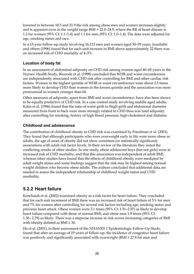lowered to between 18.5 and 21.9 the risk among obese men and women increases slightly and is apparent even in the weight range BMI = 22.0–24.9, where the RR of heart disease is 1.2 for women (95% CI: 1.1–1.4) and 1.1 for men (95% CI: 1.0–1.4). The data were adjusted for age, smoking status and race.

In a 15-year follow-up study involving 16,113 men and women aged 30–59 years, Jousilahti and others (1996) found that for each unit increase in BMI above approximately 22 there was an increased risk of CHD mortality of 4–5%.

#### **Location of body fat**

In an assessment of abdominal adiposity on CHD risk among women aged 40–65 years in the Nurses' Health Study, Rexrode et al. (1998) concluded that WHR and waist circumference are independently associated with CHD risk after controlling for BMI and other cardiac risk factors. Women in the highest quintile of WHR or waist circumference were about 2.5 times more likely to develop CHD than women in the lowest quintile and the association was more pronounced in women younger than 60.

Other measures of adiposity, apart from BMI and waist circumference, have also been shown to be equally predictive of CHD risk. In a case control study involving middle-aged adults, Kahn et al. (1996) found that the ratio of waist girth to thigh girth and abdominal diameter measured from front to back were more strongly related to CHD than was total adiposity after controlling for smoking, history of high blood pressure, high cholesterol and diabetes.

#### **Childhood and adolescence**

The contribution of childhood obesity to CHD risk was examined by Freedman et al. (2001). They found that although participants who were overweight early in life were more obese as adults, the age of onset of obesity did not show consistent (or statistically significant) associations with adult risk factor levels. In their review of the literature they noted the conflicting results of other studies. In one study, obese adolescent boys (but not girls) were at increased risk of CHD mortality, and that this association was independent of adult BMI, whereas other studies have found that the effects of childhood obesity were mediated by adult weight status and some findings suggest that the risk may be highest among normalweight children who become obese adults. The authors concluded that additional data are needed to assess the independent relationship of childhood weight status and CHD morbidity.

### **5.2.2 Heart failure**

Kenchaiah et al. (2002) examined obesity as a risk factor for heart failure. They concluded that for each unit increment of BMI there was an increased risk of heart failure of 5% for men and 7% for women after controlling for several risk factors including age, smoking status and previous heart attack. Obese women were 2.1 times (95% CI: 1.51–2.97) as likely to develop heart failure compared with those of normal BMI; and obese men 1.9 times (95% CI: 1.30– 2.79) as likely. There was a stepwise increase in risk across increasing categories of BMI with obesity defined as  $BMI \geq 30$ .

He et al. (2001), in their assessment of the NHANES 1 Epidemiologic Follow-Up Study, found that after an average of 19 years of follow-up, the incidence of congestive heart failure was positively and significantly associated with overweight ( $BMI \geq 27.8$  for men and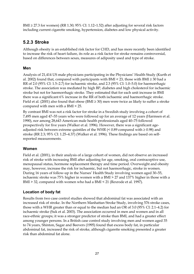BMI  $\geq$  27.3 for women) (RR 1.30; 95% CI: 1.12–1.52) after adjusting for several risk factors including current cigarette smoking, hypertension, diabetes and low physical activity.

## **5.2.3 Stroke**

Although obesity is an established risk factor for CHD, and has more recently been identified to increase the risk of heart failure, its role as a risk factor for stroke remains controversial, based on differences between sexes, measures of adiposity used and type of stroke.

#### **Men**

Analysis of 21,414 US male physicians participating in the Physicians' Health Study (Kurth et al. 2002) found that, compared with participants with BMI < 23, those with BMI  $\geq$  30 had a RR of 2.0 (95% CI: 1.5–2.7) for ischaemic stroke, and 2.3 (95% CI: 1.0–5.0) for haemorrhagic stroke. The association was mediated by high BP, diabetes and high cholesterol for ischaemic stroke but not for haemorrhagic stroke. They estimated that for each unit increase in BMI there was a significant 6% increase in the RR of both ischaemic and haemorrhagic stroke. Field et al. (2001) also found that obese (BMI ≥ 30) men were twice as likely to suffer a stroke compared with men with a BMI < 25.

By contrast BMI was not a risk factor for stroke in a Swedish study involving a cohort of 7,495 men aged 47–55 years who were followed up for an average of 12 years (Harmsen et al. 1990), nor among 28,643 American male health professionals aged 40–75 followed prospectively for five years (Walker et al. 1996). However, there was a significant ageadjusted risk between extreme quintiles of the WHR  $($  < 0.89 compared with  $\geq$  0.98) and stroke (RR 2.3; 95% CI: 1.25–4.37) (Walker et al. 1996). These findings are based on selfreported measurements.

#### **Women**

Field et al. (2001), in their analysis of a large cohort of women, did not observe an increased risk of stroke with increasing BMI after adjusting for age, smoking, oral contraceptive use, menopausal status, hormone replacement therapy and time period. Overweight and obesity may, however, increase the risk for ischaemic, but not haemorrhagic, stroke in women. During 16 years of follow-up in the Nurses' Health Study involving women aged 30–55, ischaemic stroke was 75% higher in women with a BMI > 27 and 137% higher in those with a BMI > 32, compared with women who had a BMI < 21 (Rexrode et al. 1997).

#### **Location of body fat**

Results from two case control studies showed that abdominal fat was associated with an increased risk of stroke. In the Northern Manhattan Stroke Study, involving 576 stroke cases, those with a WHR greater than or equal to the median had an OR of 3.0 (95% CI: 2.1–4.2) for ischaemic stroke (Suk et al. 2003). The association occurred in men and women and in all race-ethnic groups; it was a stronger predictor of stroke than BMI, and had a greater effect among younger persons. In a British case control study involving men and women aged 35 to 74 years, Shinton, Sagar and Beevers (1995) found that excess body fat, in particular abdominal fat, increased the risk of stroke, although cigarette smoking presented a greater risk than abdominal fat alone.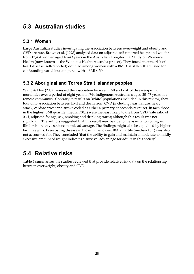# **5.3 Australian studies**

### **5.3.1 Women**

Large Australian studies investigating the association between overweight and obesity and CVD are rare. Brown et al. (1998) analysed data on adjusted self-reported height and weight from 13,431 women aged 45–49 years in the Australian Longitudinal Study on Women's Health (now known as the Women's Health Australia project). They found that the risk of heart disease (self-reported) doubled among women with a BMI > 40 (OR 2.0; adjusted for confounding variables) compared with a BMI  $\leq$  30.

### **5.3.2 Aboriginal and Torres Strait Islander peoples**

Wang & Hoy (2002) assessed the association between BMI and risk of disease-specific mortalities over a period of eight years in 744 Indigenous Australians aged 20–77 years in a remote community. Contrary to results on 'white' populations included in this review, they found no association between BMI and death from CVD (including heart failure, heart attack, cardiac arrest and stroke coded as either a primary or secondary cause). In fact, those in the highest BMI quartile (median 30.1) were the least likely to die from CVD (rate ratio of 0.41, adjusted for age, sex, smoking and drinking status) although this result was not significant. The authors suggested that this result may be due to the association of higher BMIs with relative socioeconomic advantage. The findings might also be explained by higher birth weights. Pre-existing disease in those in the lowest BMI quartile (median 18.1) was also not accounted for. They concluded 'that the ability to gain and maintain a moderate to mildly excessive amount of weight indicates a survival advantage for adults in this society'.

# **5.4 Relative risks**

Table 4 summarises the studies reviewed that provide relative risk data on the relationship between overweight, obesity and CVD.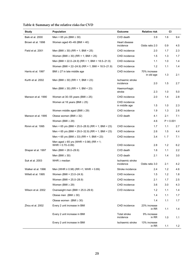| Study               | <b>Population</b>                                                   | Outcome                        | <b>Relative risk</b>       | <b>CI</b> |     |
|---------------------|---------------------------------------------------------------------|--------------------------------|----------------------------|-----------|-----|
| Baik et al. 2000    | Men < 65 yrs (BMI $\geq$ 30)                                        | CVD death                      | 3.9                        | 1.6       | 9.4 |
| Brown et al. 1998   | Women aged 45-49 (BMI > 40)                                         | Heart disease<br>incidence     | Odds ratio 2.0             | 0.9       | 4.5 |
| Field et al. 2001   | Men (BMI $\geq$ 30) (RR = 1; BMI < 25)                              | CHD incidence                  | 2.0                        | 1.7       | 2.3 |
|                     | Women (BMI ≥ 30) (RR = 1; BMI < 25)                                 | CHD incidence                  | 1.5                        | 1.3       | 1.7 |
|                     | Men (BMI = 22.0–24.9) (RR = 1; BMI = 18.5–21.9)                     | CHD incidence                  | 1.1                        | 1.0       | 1.4 |
|                     | Women (BMI = 22-24.9) (RR = 1; BMI = 18.5-21.9)                     | CHD incidence                  | 1.2                        | 1.1       | 1.4 |
| Harris et al. 1997  | BMI $\geq$ 27 in late middle age                                    | CHD incidence                  | 70% increase<br>in old age | 1.3       | 2.1 |
| Kurth et al. 2002   | Men (BMI $\geq$ 30) (RR = 1; BMI < 23)                              | Ischaemic stroke<br>incidence  | 2.0                        | 1.5       | 2.7 |
|                     | Men (BMI $\geq$ 30) (RR = 1; BM < 23)                               | Haemorrhagic<br>stroke         | 2.3                        | 1.0       | 5.0 |
| Manson et al. 1990  | Women at 30–55 years (BMI $\geq$ 25)                                | CHD incidence                  | 2.0                        | 1.4       | 2.8 |
|                     | Women at 18 years (BMI $\geq$ 25)                                   | CHD incidence<br>in middle age | 1.5                        | 1.0       | 2.3 |
|                     | Women middle aged (BMI $\geq$ 29)                                   | CHD incidence                  | 1.9                        | 1.3       | 2.6 |
| Manson et al. 1995  | Obese women (BMI $\geq$ 32)                                         | CVD death                      | 4.1                        | 2.1       | 7.1 |
|                     | Women (BMI $\geq$ 29)                                               |                                | 4.6                        | P < 0.001 |     |
| Rimm et al. 1995    | Men < 65 yrs (BMI = 25.0–28.9) (RR = 1; BMI < 23)                   | CHD incidence                  | 1.7                        | 1.1       | 2.7 |
|                     | Men < 65 yrs (BMI = 29.0–32.9) (RR = 1; BMI < 23)                   | CHD incidence                  | 2.6                        | 1.5       | 4.4 |
|                     | Men < 65 yrs (BMI $\ge$ 33) (RR = 1; BMI < 23)                      | CHD incidence                  | 3.4                        | 1.7       | 7.1 |
|                     | Men aged $\geq 65$ yrs (WHR > 0.98) (RR = 1;<br>$WHR = 0.70 - 0.89$ | CHD incidence                  | 2.8                        | 1.2       | 6.2 |
| Shaper et al. 1997  | Men (BMI = $28.0 - 29.9$ )                                          | CVD death                      | 1.6                        | 1.1       | 2.2 |
|                     | Men (BMI $\geq$ 30)                                                 | CVD death                      | 2.1                        | 1.4       | 3.0 |
| Suk et al. 2003     | WHR $\geq$ median                                                   | Ischaemic stroke<br>incidence  | Odds ratio 3.0             | 2.1       | 4.2 |
| Walker et al. 1996  | Men (WHR $\geq$ 0.98) (RR =1; WHR < 0.89)                           | Stroke incidence               | 2.4                        | 1.2       | 4.6 |
| Willett et al. 1995 | Women (BMI = 23.0-24.9)                                             | CHD incidence                  | 1.5                        | 1.2       | 1.8 |
|                     | Women (BMI = 25.0-28.9)                                             | CHD incidence                  | 2.1                        | 1.7       | 2.5 |
|                     | Women (BMI $\geq$ 29)                                               | CHD incidence                  | 3.6                        | 3.0       | 4.3 |
| Wilson et al. 2002  | Overweight men $(BMI = 25.0 - 29.9)$                                | CVD incidence                  | 1.2                        | 1.1       | 1.4 |
|                     | Obese men $(BMI \ge 30)$                                            |                                | 1.4                        | 1.1       | 1.7 |
|                     | Obese women (BMI $\geq$ 30)                                         |                                | 1.4                        | 1.1       | 1.7 |
| Zhou et al. 2002    | Every 2 unit increase in BMI                                        | CHD incidence                  | 23% increase<br>in RR      | 1.1       | 1.4 |
|                     | Every 2 unit increase in BMI                                        | Total stroke<br>incidence      | 9% increase<br>in RR       | 1.0       | 1.1 |
|                     | Every 2 unit increase in BMI                                        | Ischaemic stroke               | 13% increase<br>in RR      | 1.1       | 1.2 |

## **Table 4: Summary of the relative risks for CVD**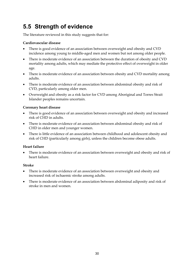# **5.5 Strength of evidence**

The literature reviewed in this study suggests that for:

## **Cardiovascular disease**

- There is good evidence of an association between overweight and obesity and CVD incidence among young to middle-aged men and women but not among older people.
- There is moderate evidence of an association between the duration of obesity and CVD mortality among adults, which may mediate the protective effect of overweight in older age.
- There is moderate evidence of an association between obesity and CVD mortality among adults.
- There is moderate evidence of an association between abdominal obesity and risk of CVD, particularly among older men.
- Overweight and obesity as a risk factor for CVD among Aboriginal and Torres Strait Islander peoples remains uncertain.

## **Coronary heart disease**

- There is good evidence of an association between overweight and obesity and increased risk of CHD in adults.
- There is moderate evidence of an association between abdominal obesity and risk of CHD in older men and younger women.
- There is little evidence of an association between childhood and adolescent obesity and risk of CHD (particularly among girls), unless the children become obese adults.

## **Heart failure**

• There is moderate evidence of an association between overweight and obesity and risk of heart failure.

## **Stroke**

- There is moderate evidence of an association between overweight and obesity and increased risk of ischaemic stroke among adults.
- There is moderate evidence of an association between abdominal adiposity and risk of stroke in men and women.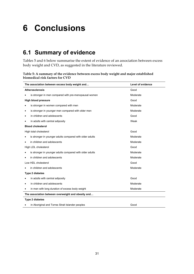# **6 Conclusions**

# **6.1 Summary of evidence**

Tables 5 and 6 below summarise the extent of evidence of an association between excess body weight and CVD, as suggested in the literature reviewed.

**Table 5: A summary of the evidence between excess body weight and major established biomedical risk factors for CVD** 

| The association between excess body weight and                  | Level of evidence |  |  |  |  |  |  |  |
|-----------------------------------------------------------------|-------------------|--|--|--|--|--|--|--|
| <b>Atherosclerosis</b>                                          | Good              |  |  |  |  |  |  |  |
| is stronger in men compared with pre-menopausal women           | Moderate          |  |  |  |  |  |  |  |
| <b>High blood pressure</b>                                      | Good              |  |  |  |  |  |  |  |
| is stronger in women compared with men                          | Moderate          |  |  |  |  |  |  |  |
| is stronger in younger men compared with older men<br>$\bullet$ | Moderate          |  |  |  |  |  |  |  |
| in children and adolescents<br>٠                                | Good              |  |  |  |  |  |  |  |
| in adults with central adiposity                                | Weak              |  |  |  |  |  |  |  |
| <b>Blood cholesterol</b>                                        |                   |  |  |  |  |  |  |  |
| High total cholesterol                                          | Good              |  |  |  |  |  |  |  |
| is stronger in younger adults compared with older adults<br>٠   | Moderate          |  |  |  |  |  |  |  |
| in children and adolescents<br>$\bullet$                        | Moderate          |  |  |  |  |  |  |  |
| High LDL cholesterol                                            | Good              |  |  |  |  |  |  |  |
| is stronger in younger adults compared with older adults        | Moderate          |  |  |  |  |  |  |  |
| in children and adolescents                                     | Moderate          |  |  |  |  |  |  |  |
| Low HDL cholesterol                                             | Good              |  |  |  |  |  |  |  |
| in children and adolescents                                     | Moderate          |  |  |  |  |  |  |  |
| Type 2 diabetes                                                 |                   |  |  |  |  |  |  |  |
| in adults with central adiposity                                | Good              |  |  |  |  |  |  |  |
| in children and adolescents<br>٠                                | Moderate          |  |  |  |  |  |  |  |
| in men with long duration of excess body weight<br>٠            | Moderate          |  |  |  |  |  |  |  |
| The association between overweight and obesity and              |                   |  |  |  |  |  |  |  |
| <b>Type 2 diabetes</b>                                          |                   |  |  |  |  |  |  |  |
| in Aboriginal and Torres Strait Islander peoples                | Good              |  |  |  |  |  |  |  |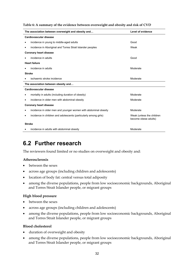**Table 6: A summary of the evidence between overweight and obesity and risk of CVD** 

| Level of evidence<br>The association between overweight and obesity and |                                                   |  |  |  |  |  |  |  |  |  |
|-------------------------------------------------------------------------|---------------------------------------------------|--|--|--|--|--|--|--|--|--|
| Cardiovascular disease                                                  |                                                   |  |  |  |  |  |  |  |  |  |
| incidence in young to middle-aged adults                                | Good                                              |  |  |  |  |  |  |  |  |  |
| incidence in Aboriginal and Torres Strait Islander peoples<br>٠         | Weak                                              |  |  |  |  |  |  |  |  |  |
| <b>Coronary heart disease</b>                                           |                                                   |  |  |  |  |  |  |  |  |  |
| incidence in adults                                                     | Good                                              |  |  |  |  |  |  |  |  |  |
| <b>Heart failure</b>                                                    |                                                   |  |  |  |  |  |  |  |  |  |
| incidence in adults                                                     | Moderate                                          |  |  |  |  |  |  |  |  |  |
| <b>Stroke</b>                                                           |                                                   |  |  |  |  |  |  |  |  |  |
| ischaemic stroke incidence                                              | Moderate                                          |  |  |  |  |  |  |  |  |  |
| The association between obesity and                                     |                                                   |  |  |  |  |  |  |  |  |  |
| Cardiovascular disease                                                  |                                                   |  |  |  |  |  |  |  |  |  |
| mortality in adults (including duration of obesity)                     | Moderate                                          |  |  |  |  |  |  |  |  |  |
| incidence in older men with abdominal obesity                           | Moderate                                          |  |  |  |  |  |  |  |  |  |
| <b>Coronary heart disease</b>                                           |                                                   |  |  |  |  |  |  |  |  |  |
| incidence in older men and younger women with abdominal obesity<br>٠    | Moderate                                          |  |  |  |  |  |  |  |  |  |
| incidence in children and adolescents (particularly among girls)<br>٠   | Weak (unless the children<br>become obese adults) |  |  |  |  |  |  |  |  |  |
| <b>Stroke</b>                                                           |                                                   |  |  |  |  |  |  |  |  |  |
| incidence in adults with abdominal obesity                              | Moderate                                          |  |  |  |  |  |  |  |  |  |

# **6.2 Further research**

The reviewers found limited or no studies on overweight and obesity and:

### **Atherosclerosis**

- between the sexes
- across age groups (including children and adolescents)
- location of body fat: central versus total adiposity
- among the diverse populations, people from low socioeconomic backgrounds, Aboriginal and Torres Strait Islander people, or migrant groups

### **High blood pressure**

- between the sexes
- across age groups (including children and adolescents)
- among the diverse populations, people from low socioeconomic backgrounds, Aboriginal and Torres Strait Islander people, or migrant groups

### **Blood cholesterol**

- duration of overweight and obesity
- among the diverse populations, people from low socioeconomic backgrounds, Aboriginal and Torres Strait Islander people, or migrant groups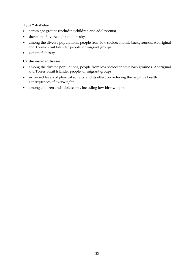## **Type 2 diabetes**

- across age groups (including children and adolescents)
- duration of overweight and obesity
- among the diverse populations, people from low socioeconomic backgrounds, Aboriginal and Torres Strait Islander people, or migrant groups
- extent of obesity

## **Cardiovascular disease**

- among the diverse populations, people from low socioeconomic backgrounds, Aboriginal and Torres Strait Islander people, or migrant groups
- increased levels of physical activity and its effect on reducing the negative health consequences of overweight.
- among children and adolescents, including low birthweight.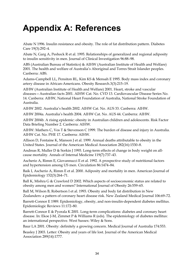# **Appendix A: References**

Abate N 1996. Insulin resistance and obesity. The role of fat distribution pattern. Diabetes Care 19(3):292–4.

Abate N, Garg A, Peshock R et al. 1995. Relationships of generalized and regional adiposity to insulin sensitivity in men. Journal of Clinical Investigation 96:88–98.

ABS (Australian Bureau of Statistics) & AIHW (Australian Institute of Health and Welfare) 2001. The health and welfare of Australia's Aboriginal and Torres Strait Islander peoples. Canberra: ABS.

Adams-Campbell LL, Pensiton RL, Kim KS & Mensah E 1995. Body mass index and coronary artery disease in African-Americans. Obesity Research.3(3):215–19.

AIHW (Australian Institute of Health and Welfare) 2001. Heart, stroke and vascular diseases—Australian facts 2001. AIHW Cat. No. CVD 13. Cardiovascular Disease Series No. 14. Canberra: AIHW, National Heart Foundation of Australia, National Stroke Foundation of Australia.

AIHW 2002. Australia's health 2002. AIHW Cat. No. AUS 33. Canberra: AIHW.

AIHW 2004a. Australia's health 2004. AIHW Cat. No. AUS 44. Canberra: AIHW.

AIHW 2004b. A rising epidemic: obesity in Australian children and adolescents. Risk Factor Data Briefing Number 2. Canberra: AIHW.

AIHW: Mathers C, Vos T & Stevenson C 1999. The burden of disease and injury in Australia. AIHW Cat. No. PHE 17. Canberra: AIHW.

Allison D, Fontaine K, Manson J et al. 1999. Annual deaths attributable to obesity in the United States. Journal of the American Medical Association 282(16):1530–8.

Andreas R, Muller D & Sorkin J 1993. Long-term effects of change in body weight on allcause mortality. Annals of Internal Medicine 119(7):737–43.

Ascherio A, Rimm E, Giovannucci E et al. 1992. A prospective study of nutritional factors and hypertension among US men. Circulation 86:1474–84.

Baik I, Ascherio A, Rimm E et al. 2000. Adiposity and mortality in men. American Journal of Epidemiology 152(3):264–71.

Ball K, Mishra G & Crawford D 2002. Which aspects of socioeconomic status are related to obesity among men and women? International Journal of Obesity 26:559–65.

Ball M, Wilson B, Robertson I et al. 1993. Obesity and body fat distribution in New Zealanders: a pattern of coronary heart disease risk. New Zealand Medical Journal 106:69–72.

Barrett-Connor E 1989. Epidemiology, obesity, and non-insulin-dependent diabetes mellitus. Epidemiologic Reviews 11:172–80.

Barrett-Connor E & Pyorala K 2001. Long-term complications: diabetes and coronary heart disease. In: Ekoe J-M, Zimmet P & Williams R (eds). The epidemiology of diabetes mellitus: an international perspective. West Sussex: Wiley & Sons.

Baur LA 2001. Obesity: definitely a growing concern. Medical Journal of Australia 174:553.

Beasley J 2003. Letter: Obesity and years of life lost. Journal of the American Medical Association 289(14):1777.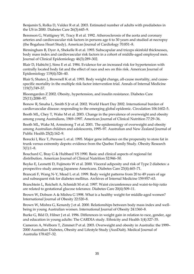Benjamin S, Rolka D, Valdez R et al. 2003. Estimated number of adults with prediabetes in the US in 2000. Diabetes Care 26(3):645–9.

Berenson G, Wattigney W, Tracy R et al. 1992. Atherosclerosis of the aorta and coronary arteries and cardiovascular risk factors in persons age 6 to 30 years and studied at necropsy (the Bogalusa Heart Study). American Journal of Cardiology 70:851–8.

Birmingham B, Dyer A, Shekelle R et al. 1993. Subscapular and triceps skinfold thicknesses, body mass index and cardiovascular risk factors in a cohort of middle-aged employed men. Journal of Clinical Epidemiology 46(3):289–302.

Blair D, Habicht J, Sims E et al. 1984. Evidence for an increased risk for hypertension with centrally located body fat and the effect of race and sex on this risk. American Journal of Epidemiology 119(4):526–40.

Blair S, Shaten J, Brownell K et al. 1993. Body weight change, all-cause mortality, and causespecific mortality in the multiple risk factor intervention trial. Annals of Internal Medicine 119(7):749–57.

Bloomgarden Z 2002. Obesity, hypertension, and insulin resistance. Diabetes Care 25(11):2088–97.

Bonow R, Smaha L, Smith S Jr et al. 2002. World Heart Day 2002. International burden of cardiovascular disease: responding to the emerging global epidemic. Circulation 106:1602–5.

Booth ML, Chey T, Wake M et al. 2003. Change in the prevalence of overweight and obesity among young Australians, 1969–1997. American Journal of Clinical Nutrition 77:29–36.

Booth ML, Wake M, Armstrong T et al. 2001. The epidemiology of overweight and obesity among Australian children and adolescents, 1995–97. Australian and New Zealand Journal of Public Health 25(2):162–9.

Borecki I, Rice T, Perusse L et al. 1995. Major gene influence on the propensity to store fat in trunk versus extremity depots: evidence from the Quebec Family Study. Obesity Research  $3(1):1-8.$ 

Bouchard C, Bray G & Hubbard VS 1990. Basic and clinical aspects of regional fat distribution. American Journal of Clinical Nutrition 52:946–50.

Boyko E, Leonetti D, Fujimoto W et al. 2000. Visceral adiposity and risk of Type 2 diabetes: a prospective study among Japanese Americans. Diabetes Care 23(4):465–71.

Brancati F, Wang N-Y, Mead L et al. 1999. Body weight patterns from 20 to 49 years of age and subsequent risk for diabetes mellitus. Archives of Internal Medicine 159:957–63.

Branchtein L, Reichelt A, Schmidt M et al. 1997. Waist circumference and waist-to-hip ratio are related to gestational glucose tolerance. Diabetes Care 20(4):509–11.

Brown W, Dobson A & Mishra G 1998. What is a healthy weight for middle-aged women? International Journal of Obesity 22:520–8.

Brown W, Mishra G, Kenardy J et al. 2000. Relationships between body mass index and wellbeing in young Australian women. International Journal of Obesity 24:1360–8.

Burke G, Bild D, Hilner J et al. 1996. Differences in weight gain in relation to race, gender, age and education in young adults: The CARDIA study. Ethnicity and Health 1(4):327–35.

Cameron A, Welborn T, Zimmet P et al. 2003. Overweight and obesity in Australia: the 1999– 2000 Australian Diabetes, Obesity and Lifestyle Study (AusDiab). Medical Journal of Australia 178:427–32.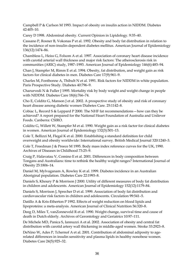Campbell P & Carlson M 1993. Impact of obesity on insulin action in NIDDM. Diabetes 42:405–10.

Carey D 1998. Abdominal obesity. Current Opinion in Lipidology. 9:35–40.

Cassano P, Rosner B, Vokonas P et al. 1992. Obesity and body fat distribution in relation to the incidence of non-insulin-dependent diabetes mellitus. American Journal of Epidemiology 136(12):1474–86.

Chambless L, Heiss G, Folsom A et al. 1997. Association of coronary heart disease incidence with carotid arterial wall thickness and major risk factors: The atherosclerosis risk in communities (ARIC) study, 1987–1993. American Journal of Epidemiology 146(6):483–94.

Chan J, Stampfer M, Rimm E et al. 1994. Obesity, fat distribution, and weight gain as risk factors for clinical diabetes in men. Diabetes Care 17(9):961–9.

Charles M, Fontbonne A, Thibult N et al. 1991. Risk factors for NIDDM in white population. Paris Prospective Study. Diabetes 40:796–9.

Charurvedi N & Fuller J 1995. Mortality risk by body weight and weight change in people with NIDDM. Diabetes Care 18(6):766–74.

Cho E, Colditz G, Manson J et al. 2002. A prospective study of obesity and risk of coronary heart disease among diabetic women Diabetes Care. 25:1142–8.

Cobiac L, Record S & Leppard P 2000. The NHF fat recommendations—how can they be achieved? A report prepared for the National Heart Foundation of Australia and Unilever Foods. Canberra: CSIRO.

Colditz G, Willett W, Stampfer M et al. 1990. Weight gain as a risk factor for clinical diabetes in women. American Journal of Epidemiology 132(3):501–13.

Cole T, Bellizzi M, Flegal K et al. 2000. Establishing a standard definition for child overweight and obesity worldwide: International survey. British Medical Journal 320:1240–3.

Cole T, Freedman J & Preece M 1995. Body mass index reference curves for the UK, 1990. Archives of Diseases in Childhood 73:25–9.

Craig P, Halavatau V, Comino E et al. 2001. Differences in body composition between Tongans and Australians: time to rethink the healthy weight ranges? International Journal of Obesity 25:1806–14.

Daniel M, Mylvaganam A, Rowley K et al. 1999. Diabetes incidence in an Australian Aboriginal population. Diabetes Care 22:1993–8.

Daniels S, Khoury P & Morrison J 2000. Utility of different measures of body fat distribution in children and adolescents. American Journal of Epidemiology 152(12):1179–84.

Daniels S, Morrison J, Sprecher D et al. 1999. Association of body fat distribution and cardiovascular risk factors in children and adolescents. Circulation 99:541–5.

Datillo A & Kris-Etherton P 1992. Effects of weight reduction on blood lipids and lipoproteins: a meta-analysis. American Journal of Clinical Nutrition 56:320–8.

Deeg D, Miles T, vanZonneveld R et al. 1990. Weight change, survival time and cause of death in Dutch elderly. Archives of Gerontology and Geriatrics 10:97–111.

De Michele MD, Panica S, Iannuzzi A et al. 2002. Association of obesity and central fat distribution with carotid artery wall thickening in middle-aged women. Stroke 33:2923–8.

DeNino W, Ades P, Tchernof A et al. 2001. Contribution of abdominal adiposity to agerelated differences in insulin sensitivity and plasma lipids in healthy nonobese women. Diabetes Care 24(5):925–32.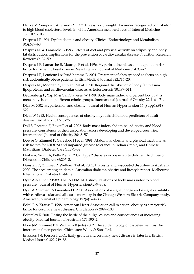Denke M, Sempos C & Grundy S 1993. Excess body weight. An under recognized contributor to high blood cholesterol levels in white American men. Archives of Internal Medicine 153:1093–103.

Despres J-P 1994. Dyslipidaemia and obesity. Clinical Endocrinology and Metabolism 8(3):629–60.

Despres J-P & Lamarche B 1993. Effects of diet and physical activity on adiposity and body fat distribution: implications for the prevention of cardiovascular disease. Nutrition Research Reviews 6:137–59.

Despres J-P, Lamarche B, Maurige P et al. 1996. Hyperinsulinemia as an independent risk factor for ischemic heart disease. New England Journal of Medicine 334:952–7.

Despres J-P, Lemieuz I & Prud'homme D 2001. Treatment of obesity: need to focus on high risk abdominally obese patients. British Medical Journal 322:716–20.

Despres J-P, Moorjani S, Lupien P et al. 1990. Regional distribution of body fat, plasma lipoproteins, and cardiovascular disease. Arteriosclerosis 10:497–511.

Deurenberg P, Yap M & Van Staveren W 1998. Body mass index and percent body fat: a metaanalysis among different ethnic groups. International Journal of Obesity 22:1164–71.

Diaz M 2002. Hypertension and obesity. Journal of Human Hypertension 16 (Supp1):S18– S22.

Dietz W 1998. Health consequences of obesity in youth: childhood predictors of adult disease. Pediatrics 101:518–25.

Doll S, Paccaud F, Bovet P et al. 2002. Body mass index, abdominal adiposity and blood pressure: consistency of their association across developing and developed countries. International Journal of Obesity 26:48–57.

Dowse G, Zimmet P, Gareeboo H et al. 1991. Abdominal obesity and physical inactivity as risk factors for NIDDM and impaired glucose tolerance in Indian Creole, and Chinese Mauritians. Diabetes Care 14:271–82.

Drake A, Smith A, Betts P et al. 2002. Type 2 diabetes in obese white children. Archives of Diseases in Children 86:207–8.

Dunstan D, Zimmet P, Welborn T et al. 2001. Diabesity and associated disorders in Australia 2000. The accelerating epidemic. Australian diabetes, obesity and lifestyle report. Melbourne: International Diabetes Institute.

Dyer A & Elliot P 1989. The INTERSALT study: relations of body mass index to blood pressure. Journal of Human Hypertension3:299–308.

Dyer A, Stamler J & Greenland P 2000. Associations of weight change and weight variability with cardiovascular and all-cause mortality in the Chicago Western Electric Company study. American Journal of Epidemiology 152(4):324–33.

Eckel R & Krauss R 1998. American Heart Association call to action: obesity as a major risk factor for coronary heart disease. Circulation 97:2099–100.

Eckersley R 2001. Losing the battle of the bulge: causes and consequences of increasing obesity. Medical Journal of Australia 174:590–2.

Ekoe J-M, Zimmet P & Williams R (eds) 2002. The epidemiology of diabetes mellitus: An international perspective. Chichester: Wiley & Sons Ltd.

Erikkson J & Forson T 2001. Early growth and coronary heart disease in later life. British Medical Journal 322:949–53.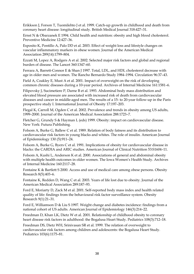Erikkson J, Forson T, Tuomilehto J et al. 1999. Catch-up growth in childhood and death from coronary heart disease: longitudinal study. British Medical Journal 318:427–31.

Ernst N & Obarzanek E 1994. Child health and nutrition: obesity and high blood cholesterol. Preventive Medicine 12:427–36.

Esposito K, Pontillo A, Palo DD et al. 2003. Effect of weight loss and lifestyle changes on vascular inflammatory markers in obese women. Journal of the American Medical Association 289(14):1799–804.

Ezzati M, Lopez A, Rodgers A et al. 2002. Selected major risk factors and global and regional burden of disease. The Lancet 360:1347–60.

Ferrara A, Barrett-Connor E & Shan J 1997. Total, LDL, and HDL cholesterol decrease with age in older men and women. The Rancho Bernardo Study 1984–1994. Circulation 96:37–43.

Field A, Coakley E, Must A et al. 2001. Impact of overweight on the risk of developing common chronic diseases during a 10-year period. Archives of Internal Medicine 161:1581–6.

Filipovsky J, Sucimetiere P, Darne B et al. 1993. Abdominal body mass distribution and elevated blood pressure are associated with increased risk of death from cardiovascular diseases and cancer in middle-aged men. The results of a 15- to 20-year follow-up in the Paris prospective study I. International Journal of Obesity 17:197–203.

Flegal K, Carroll M, Ogden C et al. 2002. Prevalence and trends in obesity among US adults, 1999–2000. Journal of the American Medical Association 288:1723–7.

Fletcher G, Grundy S & Hayman L (eds) 1999. Obesity: impact on cardiovascular disease. New York: Futura Publishing.

Folsom A, Burke G, Ballew C et al. 1989. Relation of body fatness and its distribution to cardiovascular risk factors in young blacks and whites. The role of insulin. American Journal of Epidemiology 130 (5):911–24.

Folsom A, Burke G, Byers C et al. 1991. Implications of obesity for cardiovascular disease in blacks: the CARDIA and ARIC studies. American Journal of Clinical Nutrition 53:S1604–11.

Folsom A, Kushi L, Anderson K et al. 2000. Associations of general and abdominal obesity with multiple health outcomes in older women. The Iowa Women's Health Study. Archives of Internal Medicine 160:2117–28.

Fontaine K & Bartlett S 2000. Access and use of medical care among obese persons. Obesity Research 8(5):403–6.

Fontaine K, Redden D, Wang C et al. 2003. Years of life lost due to obesity. Journal of the American Medical Association 289:187–93.

Ford E, Moriarty D, Zack M et al. 2001. Self-reported body mass index and health related quality of life: findings from the behavioural risk factor surveillance system. Obesity Research 9(1):21–31.

Ford E, Williamson D & Liu S 1997. Weight change and diabetes incidence: findings from a national cohort of US adults. American Journal of Epidemiology 146(3):214–22.

Freedman D, Khan LK, Dietz W et al. 2001. Relationship of childhood obesity to coronary heart disease risk factors in adulthood: the Bogalusa Heart Study. Pediatrics 108(3):712–18.

Freedman DS, Dietz WH, Srinivasan SR et al. 1999. The relation of overweight to cardiovascular risk factors among children and adolescents: the Bogalusa Heart Study. Pediatrics 103(6):1175–81.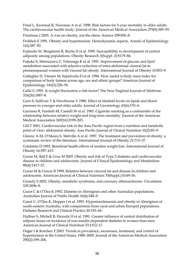Fried L, Kronmal R, Newman A et al. 1998. Risk factors for 5-year mortality in older adults. The cardiovascular health study. Journal of the American Medical Association 279(8):585–95.

Friedman J 2003. A war on obesity, not the obese. Science 299:856–8.

Frohlich E 1991. Obesity and hypertension. Hemodynamic aspects. Annals of Epidemiology 1(4):287–93.

Fujimoto W, Bergstrom R, Boyko E et al. 1995. Susceptibility to development of central adiposity among populations. Obesity Research 3(Suppl. 2):S179–86.

Fujioka S, Matsuzawa Y, Tokunaga K et al. 1991. Improvement of glucose and lipid metabolism associated with selective reduction of intra-abdominal visceral fat in premenopausal women with visceral fat obesity. International Journal of Obesity 15:853–9.

Gallagher D, Vissner M, Sepulveda D et al. 1996. How useful is body mass index for comparison of body fatness across age, sex and ethnic groups? American Journal of Epidemiology 143(3):228–39.

Gallo G 1991. Is weight fluctuation a risk factor? The New England Journal of Medicine 324(26):1887–8.

Garn S, Sullivan T & Hawthorne V 1988. Effect of skinfold levels on lipids and blood pressure in younger and older adults. Journal of Gerontology 43(6):170–4.

Garrison R, Feinleib M, Castelli W et al. 1983. Cigarette smoking as a confounder of the relationship between relative weight and long-term mortality. Journal of the American Medical Association 249(16):2199–203.

Gill T 2001. Cardiovascular risk in the Asia-Pacific region from a nutrition and metabolic point of view: abdominal obesity. Asia Pacific Journal of Clinical Nutrition 10(2):85–9.

Glenny A-M, O'Meara S, Melville A et al. 1997. The treatment and prevention of obesity: a systematic review of the literature. International Journal of Obesity 21:715–37.

Goldstein D 1992. Beneficial health effects of modest weight loss. International Journal of Obesity 16:397–415.

Goran M, Ball F & Cruz M 2003. Obesity and risk of Type 2 diabetes and cardiovascular disease in children and adolescents. Journal of Clinical Epidemiology and Metabolism 88(4):1417–27.

Goran M & Gower B 1999. Relation between visceral fat and disease in children and adolescents. American Journal of Clinical Nutrition 70(Suppl.):S149–56.

Grundy S 2002. Obesity, metabolic syndrome, and coronary atherosclerosis. Circulation 105:2696–8.

Guest C & O'Dea K 1992. Diabetes in Aborigines and other Australian populations. Australian Journal of Public Health 16(4):340–9.

Guest C, O'Dea K, Hopper J et al. 1993. Hyperinsulinaemia and obesity in Aborigines of south-eastern Australia, with comparisons from rural and urban Europid populations. Diabetes Research and Clinical Practice 20:155–64.

Haffner S, Michell B, Hazuda H et al. 1991. Greater influence of central distribution of adipose tissue on incidence of non-insulin-dependent diabetes in women than men. American Journal of Clinical Nutrition 53:1312–17.

Hajjar I & Kotchen T 2003. Trends in prevalence, awareness, treatment, and control of hypertension in the United States, 1988–2000. Journal of the American Medical Association 290(2):199–206.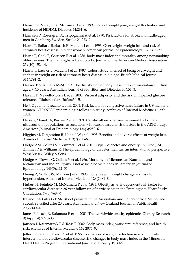Hanson R, Narayan K, McCance D et al. 1995. Rate of weight gain, weight fluctuation and incidence of NIDDM. Diabetes 44:261–6.

Harmsen P, Rosengren A, Tsipogianni A et al. 1990. Risk factors for stroke in middle-aged men in Goteborg, Sweden. Stroke 21:223–9.

Harris T, Ballard-Barbasch R, Madans J et al. 1993. Overweight, weight loss and risk of coronary heart disease in older women. American Journal of Epidemiology 137:1318–27.

Harris T, Cook F, Garrison R et al. 1988. Body mass index and mortality among nonsmoking older persons. The Framingham Heart Study. Journal of the American Medical Association 259(10):1520–4.

Harris T, Launer L, Madans J et al. 1997. Cohort study of effect of being overweight and change in weight on risk of coronary heart disease in old age. British Medical Journal 314:1791–2.

Harvey P & Althaus M-M 1993. The distribution of body mass index in Australian children aged 7–15 years. Australian Journal of Nutrition and Dietetics 50:151–3.

Hayahi T, Newell-Morris L et al. 2003. Visceral adiposity and the risk of impaired glucose tolerance. Diabetes Care 26(3):650–5.

He J, Ogden L, Bazzano L et al. 2001. Risk factors for congestive heart failure in US men and women. NHANES I epidemiologic follow-up study. Archives of Internal Medicine 161:996– 1002.

Heiss G, Sharett A, Barnes R et al. 1991. Carotid atherosclerosis measured by B-mode ultrasound in populations: associations with cardiovascular risk factors in the ARIC study. American Journal of Epidemiology 134(3):250–6.

Higgins M, D'Agostino R, Kannel W et al. 1993. Benefits and adverse effects of weight loss. Annals of Internal Medicine 119(7):758–63.

Hodge AM, Collins VR, Zimmet P et al. 2001. Type 2 diabetes and obesity. In: Ekoe J-M, Zimmet P & Williams R. The epidemiology of diabetes mellitus: an international perspective. West Sussex: Wiley & Sons.

Hodge A, Dowse G, Collins V et al. 1996. Mortality in Micronesian Nauruans and Melanesian and Indian Fijians is not associated with obesity. American Journal of Epidemiology 143(5):442–55.

Huang Z, Willett W, Manson J et al. 1998. Body weight, weight change and risk for hypertension. Annals of Internal Medicine 128(2):81–8.

Hubert H, Feinleib M, McNamara P et al. 1983. Obesity as an independent risk factor for cardiovascular disease: a 26-year follow-up of participants in the Framingham Heart Study. Circulation. 67(5):968–77

Ireland P & Giles G 1996. Blood pressure in the Australian- and Italian-born: a Melbourne suburb revisited after 20 years. Australian and New Zealand Journal of Public Health 20(2):143–49.

James P, Leach R, Kalamara E et al. 2001. The worldwide obesity epidemic. Obesity Research 9(Suppl. 4):S228–33.

Janssen I, Katzmarzyk P & Ross R 2002. Body mass index, waist circumference, and health risk. Archives of Internal Medicine 162:2074–9.

Jeffery R, Gray C, French S et al. 1995. Evaluation of weight reduction in a community intervention for cardiovascular disease risk: changes in body mass index in the Minnesota Heart Health Program. International Journal of Obesity 19:30–9.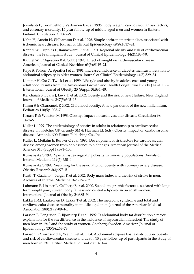Jousilahti P, Tuomilehto J, Vartiainen E et al. 1996. Body weight, cardiovascular risk factors, and coronary mortality. 15-year follow-up of middle-aged men and women in Eastern Finland. Circulation 93:1372–9.

Kahn H, Austin H, Williamson D et al. 1996. Simple anthropometric indices associated with ischemic heart disease. Journal of Clinical Epidemiology 49(9):1017–24.

Kannel W, Cupples L, Ramaswami R et al. 1991. Regional obesity and risk of cardiovascular disease: the Framingham study. Journal of Clinical Epidemiology 44(2):183–90.

Kannel W, D'Agostino R & Cobb J 1996. Effect of weight on cardiovascular disease. American Journal of Clinical Nutrition 63(3):S419–21.

Kaye S, Folsom A, Sprafka J et al. 1991. Increased incidence of diabetes mellitus in relation to abdominal adiposity in older women. Journal of Clinical Epidemiology 44(3):329–34.

Kemper H, Ost G, Twisk J et al. 1999. Lifestyle and obesity in adolescence and young adulthood: results from the Amsterdam Growth and Health Longitudinal Study (AGAHLS). International Journal of Obesity 23 (Suppl. 3):S34–40.

Kenchaiah S, Evans J, Levy D et al. 2002. Obesity and the risk of heart failure. New England Journal of Medicine 347(5):305–13.

Kimm S & Obarzanek E 2002. Childhood obesity: A new pandemic of the new millennium. Pediatrics 110(5):1003–7.

Kruass R & Winston M 1998. Obesity. Impact on cardiovascular disease. Circulation 98: 1472–6.

Kuller L 1999. The epidemiology of obesity in adults in relationship to cardiovascular disease. In: Fletcher GF, Grundy SM & Hayman LL (eds). Obesity: impact on cardiovascular disease. Armonk, NY: Futura Publishing Co., Inc.

Kuller L, Meilahn E, Bunker C et al. 1995. Development of risk factors for cardiovascular disease among women from adolescence to older ages. American Journal of the Medical Sciences 310 (Suppl 1):S91–100.

Kumanyika S 1993. Special issues regarding obesity in minority populations. Annals of Internal Medicine 119(7):650–4.

Kumanyika S 1995. Searching for the association of obesity with coronary artery disease. Obesity Research 3(3):273–5.

Kurth T, Gaziano J, Berger K et al. 2002. Body mass index and the risk of stroke in men. Archives of Internal Medicine 162:2557–62.

Lahmann P, Lissner L, Gullberg B et al. 2000. Sociodemographic factors associated with longterm weight gain, current body fatness and central adiposity in Swedish women. International Journal of Obesity 24:685–94.

Lakka H-M, Laaksonen D, Lakka T et al. 2002. The metabolic syndrome and total and cardiovascular disease mortality in middle-aged men. Journal of the American Medical Association 288(21):2709–16.

Larsson B, Bengtsson C, Bjorntorp P et al. 1992. Is abdominal body fat distribution a major explanation for the sex difference in the incidence of myocardial infarction? The study of men born in 1913 and the study of women, Goteborg, Sweden. American Journal of Epidemiology 135(3):266–73.

Larsson B, Svardsudd K, Welin L et al. 1984. Abdominal adipose tissue distribution, obesity and risk of cardiovascular disease and death: 13 year follow up of participants in the study of men born in 1913. British Medical Journal 288:1401–4.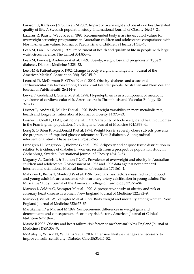Larsson U, Karlsson J & Sullivan M 2002. Impact of overweight and obesity on health-related quality of life. A Swedish population study. International Journal of Obesity 26:417–24.

Lazarus R, Baur L, Webb K et al. 1995. Recommended body mass index cutoff values for overweight screening programmes in Australian children and adolescents: comparisons with North American values. Journal of Paediatric and Children's Health 31:143–7.

Lean M, Lan T & Seidell J 1998. Impairment of health and quality of life in people with large waist circumference. The Lancet 351:853–6.

Lean M, Powrie J, Anderson A et al. 1989. Obesity, weight loss and prognosis in Type 2 diabetes. Diabetic Medicine 7:228–33.

Lee I-M & Paffenbarger R 1992. Change in body weight and longevity. Journal of the American Medical Association 268(15):2045–9.

Leonard D, McDermott R, O'Dea K et al. 2002. Obesity, diabetes and associated cardiovascular risk factors among Torres Strait Islander people. Australian and New Zealand Journal of Public Health 26:144–9.

Leyva F, Godsland I, Ghatei M et al. 1998. Hyperleptinemia as a component of metabolic syndrome of cardiovascular risk. Arteriosclerosis Thrombosis and Vascular Biology 18: 928–33.

Lissner L, Andres R, Muller D et al. 1990. Body weight variability in men: metabolic rate, health and longevity. International Journal of Obesity 14:373–83.

Lissner L, Odell P, D'Agnostino R et al. 1991. Variability of body weight and health outcomes in the Framingham population. New England Journal of Medicine 324:1839–44.

Long S, O'Brien K, MacDonald K et al. 1994. Weight loss in severely obese subjects prevents the progression of impaired glucose tolerance to Type 2 diabetes. A longitudinal interventional study. Diabetes Care 17(5):372–5.

Lundgren H, Bengtsson C, Blohme G et al. 1989. Adiposity and adipose tissue distribution in relation to incidence of diabetes in women: results from a prospective population study in Gothenburg, Sweden. International Journal of Obesity 13:413–23.

Magarey A, Daniels L & Boulton T 2001. Prevalence of overweight and obesity in Australian children and adolescents: Reassessment of 1985 and 1995 data against new standard international definitions. Medical Journal of Australia 174:561–4.

Mahoney L, Burns T, Stanford W et al. 1996. Coronary risk factors measured in childhood and young adult life are associated with coronary artery calcification in young adults: The Muscatine Study. Journal of the American College of Cardiology 27:277–84.

Manson J, Colditz G, Stampfer M et al. 1990. A prospective study of obesity and risk of coronary heart disease in women. New England Journal of Medicine 322:882–9.

Manson J, Willett W, Stampfer M et al. 1995. Body weight and mortality among women. New England Journal of Medicine 333:677–85.

Martikainen P & Marmot M 1999. Socioeconomic differences in weight gain and determinants and consequences of coronary risk factors. American Journal of Clinical Nutrition 69:719–26.

Massie B 2002. Obesity and heart failure-risk factor or mechanism? New England Journal of Medicine 347(5):358–9.

McAuley K, Wilson N, Williams S et al. 2002. Intensive lifestyle changes are necessary to improve insulin sensitivity. Diabetes Care 25(3):445–52.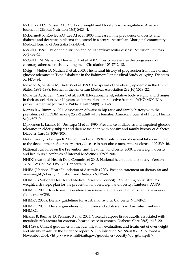McCarron D & Reusser M 1996. Body weight and blood pressure regulation. American Journal of Clinical Nutrition 63(3):S423–4.

McDermott R, Rowley KG, Lee AJ et al. 2000. Increase in the prevalence of obesity and diabetes and decrease in plasma cholesterol in a central Australian Aboriginal community. Medical Journal of Australia 172:480–4.

McGill H 1997. Childhood nutrition and adult cardiovascular disease. Nutrition Reviews 55(1):S2–11.

McGill H, McMahan A, Herderick E et al. 2002. Obesity accelerates the progression of coronary atherosclerosis in young men. Circulation 105:2712–18.

Meigs J, Muller D, Nathan D et al. 2003. The natural history of progression from the normal glucose tolerance to Type 2 diabetes in the Baltimore Longitudinal Study of Aging. Diabetes 52:1475–84.

Mokdad A, Serdula M, Dietz W et al. 1999. The spread of the obesity epidemic in the United States, 1991–1998. Journal of the American Medical Association 282(16):1519–22.

Molarius A, Seidell J, Sans S et al. 2000. Educational level, relative body weight, and changes in their association over 10 years: an international perspective from the WHO MONICA project. American Journal of Public Health 90(8):1260–8.

Morris R & Rimm A 1991. Association of waist to hip ratio and family history with the prevalence of NIDDM among 25,272 adult white females. American Journal of Public Health 81(4):507–9.

Mykkanen L, Laakso M, Uositupa M et al. 1990. Prevalence of diabetes and impaired glucose tolerance in elderly subjects and their association with obesity and family history of diabetes. Diabetes Care 13:1099–105.

Nakamura T, Tokunaga K, Shimomura I et al. 1994. Contribution of visceral fat accumulation to the development of coronary artery disease in non-obese men. Atherosclerosis 107:239–46.

National Taskforce on the Prevention and Treatment of Obesity 2000. Overweight, obesity and health risk. Archives of Internal Medicine 160:898–904.

NHDC (National Health Data Committee) 2003. National health data dictionary. Version 12.AIHW Cat. No. HWI 43. Canberra: AIHW.

NHFA (National Heart Foundation of Australia) 2003. Position statement on dietary fat and overweight /obesity. Nutrition and Dietetics 60:174-6

NHMRC (National Health and Medical Research Council) 1997. Acting on Australia's weight: a strategic plan for the prevention of overweight and obesity. Canberra: AGPS.

NHMRC 2000. How to use the evidence: assessment and application of scientific evidence. Canberra: AGPS.

NHMRC 2003a. Dietary guidelines for Australian adults. Canberra: NHMRC.

NHMRC 2003b. Dietary guidelines for children and adolescents in Australia. Canberra: NHMRC.

Nicklas B, Berman D, Penninx B et al. 2003. Visceral adipose tissue cutoffs associated with metabolic risk factors for coronary heart disease in women. Diabetes Care 26(5):1413–20.

NIH 1998. Clinical guidelines on the identification, evaluation, and treatment of overweight and obesity in adults: the evidence report. NIH publication No. 98–4083. US. Viewed 4 November 2004, <http://www.nhlbi.nih.gov/guidelines/obesity/ob\_gdlns.pdf >.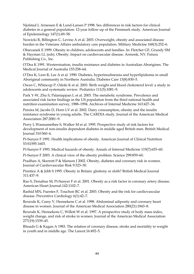Njolstad I, Arnessen E & Lund-Larsen P 1998. Sex differences in risk factors for clinical diabetes in a general population: 12-year follow-up of the Finnmark study. American Journal of Epidemiology 147(1):49–58.

Nowicki R, Billington C, Levine A et al. 2003. Overweight, obesity and associated disease burden in the Veterans Affairs ambulatory care population. Military Medicine 168(3):252–6.

Obarzanek E 1999. Obesity in children, adolescents and families. In: Fletcher GF, Grundy SM & Hayman LL (eds). Obesity: Impact on cardiovascular disease. Armonk, NY: Futura Publishing Co., Inc.

O'Dea K 1991. Westernisation, insulin resistance and diabetes in Australian Aborigines. The Medical Journal of Australia 155:258–64.

O'Dea K, Lion R, Lee A et al. 1990. Diabetes, hyperinsulinemia and hyperlipidemia in small Aboriginal community in Northern Australia. Diabetes Care 13(8):830–5.

Owen C, Whincup P, Odoki K et al. 2003. Birth weight and blood cholesterol level: a study in adolescents and systematic review. Pediatrics 111(5):1081–9.

Park Y-W, Zhu S, Palaniappan L et al. 2003. The metabolic syndrome. Prevalence and associated risk factor findings in the US population from the third national health and nutrition examination survey, 1988–1994. Archives of Internal Medicine 163:427–36.

Pereira M, Jacobs D, Horn LV et al. 2002. Dairy consumption, obesity and the insulin resistance syndrome in young adults. The CARDIA study. Journal of the American Medical Association 287:2081–9.

Perry I, Wannamethee S, Walker M et al. 1995. Prospective study of risk factors for development of non-insulin dependent diabetes in middle aged British men. British Medical Journal 310:560–4.

Pi-Sunyer F 1991. Health implications of obesity. American Journal of Clinical Nutrition 53:S1595-1603.

Pi-Sunyer F 1993. Medical hazards of obesity. Annals of Internal Medicine 119(7):655–60.

Pi-Sunyer F 2003. A clinical view of the obesity problem. Science 299:859–60.

Pradhan A, Skerrett P & Manson J 2002. Obesity, diabetes and coronary risk in women. Journal of Cardiovascular Risk 9:323–30.

Prentice A & Jebb S 1995. Obesity in Britain: gluttony or sloth? British Medical Journal 311:437–9.

Rao S, Donahue M, Pi-Sunyer F et al. 2001. Obesity as a risk factor in coronary artery disease. American Heart Journal.142:1102–7.

Rashid MN, Fuentes F, Touchon RC et al. 2003. Obesity and the risk for cardiovascular disease. Preventive Cardiology 6(1):42–7.

Rexrode K, Carey V, Hennekens C et al. 1998. Abdominal adiposity and coronary heart disease in women. Journal of the American Medical Association 280(21):1843–8.

Rexrode K, Hennekens C, Willett W et al. 1997. A prospective study of body mass index, weight change, and risk of stroke in women. Journal of the American Medical Association 277(19):1539–45.

Rhoads G & Kagan A 1983. The relation of coronary disease, stroke and mortality to weight in youth and in middle age. The Lancet.16:492–5.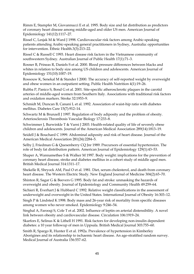Rimm E, Stampfer M, Giovannucci E et al. 1995. Body size and fat distribution as predictors of coronary heart disease among middle-aged and older US men. American Journal of Epidemiology 141(12):1117–27.

Rissel C, Lesjak M & Ward J 1998. Cardiovascular risk factors among Arabic-speaking patients attending Arabic-speaking general practitioners in Sydney, Australia: opportunities for intervention. Ethnic Health.3(3):213–22.

Rissel C & Russell C 1993. Heart disease risk factors in the Vietnamese community of southwestern Sydney. Australian Journal of Public Health 17(1):71–3.

Rosner B, Prineas R, Daniels S et al. 2000. Blood pressure differences between blacks and whites in relation to body size among US children and adolescents. American Journal of Epidemiology 151(10):1007–19.

Rossouw K, Senekal M & Stander I 2000. The accuracy of self-reported weight by overweight and obese women in an outpatient setting. Public Health Nutrition 4(1):19–26.

Rubba P, Panico S, Bond G et al. 2001. Site-specific atherosclerotic plaques in the carotid arteries of middle-aged women from Southern Italy. Associations with traditional risk factors and oxidation markers. Stroke 32:1953–9.

Schmidt M, Duncan B, Canani L et al. 1992. Association of waist-hip ratio with diabetes mellitus. Diabetes Care 15(7):912–14.

Schwartz M & Brunzell J 1997. Regulation of body adiposity and the problem of obesity. Arteriosclerosis Thrombosis Vascular Biology 17:233–8.

Schwimmer J, Burwinkle T & Varni J 2003. Health-related quality of life of severely obese children and adolescents. Journal of the American Medical Association 289(14):1813–19.

Seidell J & Bouchard C 1999. Abdominal adiposity and risk of heart disease. Journal of the American Medical Association 281(24):2284–5.

Selby J, Friedman G & Quesenberry CQ Jnr 1989. Precursors of essential hypertension. The role of body fat distribution pattern. American Journal of Epidemiology 129(1):43–53.

Shaper A, Wannamethee S & Walker M 1997. Body weight: implications for the prevention of coronary heart disease, stroke and diabetes mellitus in a cohort study of middle aged men. British Medical Journal 314:1311–17.

Shekelle R, Shryock AM, Paul O et al. 1981. Diet, serum cholesterol, and death from coronary heart disease. The Western Electric Study. New England Journal of Medicine 304(2):65–70.

Shinton R, Sagar G & Beevers G 1995. Body fat and stroke: unmasking the hazards of overweight and obesity. Journal of Epidemiology and Community Health 49:259–64.

Sichieri R, Everhart J & Hubbard C 1992. Relative weight classifications in the assessment of underweight and overweight in the United States. International Journal of Obesity 16:303–12.

Singh P & Lindsted K 1998. Body mass and 26-year risk of mortality from specific diseases among women who never smoked. Epidemiology 9:246–54.

Singhal A, Farooqi S, Cole T et al. 2002. Influence of leptin on arterial distensibility. A novel link between obesity and cardiovascular disease. Circulation 106:1919–24.

Skarfors E, Selinus K & Lithell H 1991. Risk factors for developing non-insulin dependent diabetes: a 10 year followup of men in Uppsala. British Medical Journal 303:755–60.

Smith R, Spargo R, Hunter E et al. 1992a. Prevalence of hypertension in Kimberley Aborigines and its relationship to ischaemic heart disease. An age-stratified random survey. Medical Journal of Australia 156:557–62.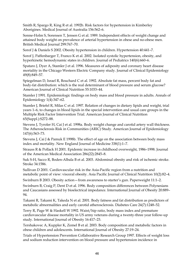Smith R, Spargo R, King R et al. 1992b. Risk factors for hypertension in Kimberley Aborigines. Medical Journal of Australia 156:562–6.

Sonne-Holm S, Sorensen T, Jensen G et al. 1989. Independent effects of weight change and attained body weight on prevalence of arterial hypertension in obese and no-obese men. British Medical Journal 299:767–70.

Sorof J & Daniels S 2002. Obesity hypertension in children. Hypertension 40:441–7.

Sorof J, Paffenbarger T, Franco K et al. 2002. Isolated systolic hypertension, obesity, and hyperkinetic hemodynamic states in children. Journal of Pediatrics 140(6):660–6.

Spataro J, Dyer A, Stamler J et al. 1996. Measures of adiposity and coronary heart disease mortality in the Chicago Western Electric Company study. Journal of Clinical Epidemiology 49(8):849–57.

Spiegelman D, Israel R, Bouchard C et al. 1992. Absolute fat mass, percent body fat and body-fat distribution: which is the real determinant of blood pressure and serum glucose? American Journal of Clinical Nutrition 55:1033–44.

Stamler J 1991. Epidemiologic findings on body mass and blood pressure in adults. Annals of Epidemiology 1(4):347–62.

Stamler J, Briefel R, Milas C et al. 1997. Relation of changes in dietary lipids and weight, trial years 1–6, to changes in blood lipids in the special intervention and usual care groups in the Multiple Risk Factor Intervention Trial. American Journal of Clinical Nutrition 65(Suppl.):S272–88.

Stevens J, Tyroler H, Cai J et al. 1998a. Body weight change and carotid artery wall thickness. The Atherosclerosis Risk in Communities (ARIC) Study. American Journal of Epidemiology 147(6):563–73.

Stevens J, Cai J & Pamuk E 1998b. The effect of age on the association between body mass index and mortality. New England Journal of Medicine 338(1):1–7.

Strauss R & Pollack H 2001. Epidemic increase in childhood overweight, 1986–1998. Journal of the American Medical Association 286(22):2845–8.

Suk S-H, Sacco R, Boden-Albala B et al. 2003. Abdominal obesity and risk of ischemic stroke. Stroke 34:1586.

Sullivan D 2001. Cardiovascular risk in the Asia-Pacific region from a nutrition and metabolic point of view: visceral obesity. Asia Pacific Journal of Clinical Nutrition 10(2):82–4.

Swinburn B 2003. Obesity action—from awareness to starter's gun. Paperweight 11:1–2.

Swinburn B, Craig P, Dent D et al. 1996. Body composition differences between Polynesians and Caucasians assessed by bioelectrical impedance. International Journal of Obesity 20:889– 94.

Takami R, Takami K, Takeda N et al. 2001. Body fatness and fat distribution as predictors of metabolic abnormalities and early carotid atherosclerosis. Diabetes Care 24(7):1248–52.

Terry R, Page W & Haskell W 1992. Waist/hip ratio, body mass index and premature cardiovascular disease mortality in US army veterans during a twenty-three year follow-up study. International Journal of Obesity 16:417–23.

Tershakovec A, Kuppler K, Zemel B et al. 2003. Body composition and metabolic factors in obese children and adolescents. International Journal of Obesity 27:19–24.

Trials of Hypertension Prevention Collaborative Research Group 1997. Effects of weight loss and sodium reduction intervention on blood pressure and hypertension incidence in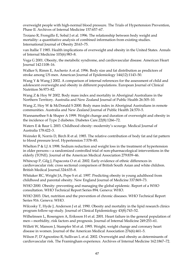overweight people with high-normal blood pressure. The Trials of Hypertension Prevention, Phase II. Archives of Internal Medicine 157:657–67.

Troiano R, Frongillo E, Sobal J et al. 1996. The relationship between body weight and mortality: a quantitative analysis of combined information from existing studies. International Journal of Obesity 20:63–75.

van Itallie T 1985. Health implications of overweight and obesity in the United States. Annals of Internal Medicine 103(6):983–8.

Vega G 2001. Obesity, the metabolic syndrome, and cardiovascular disease. American Heart Journal 142:1108–16.

Walker S, Rimm E, Ascherio A et al. 1996. Body size and fat distribution as predictors of stroke among US men. American Journal of Epidemiology 144(12):1143–50.

Wang Y & Wang J 2002. A comparison of internal references for the assessment of child and adolescent overweight and obesity in different populations. European Journal of Clinical Nutrition 56:973–82.

Wang Z & Hoy W 2002. Body mass index and mortality in Aboriginal Australians in the Northern Territory. Australia and New Zealand Journal of Public Health 26:305–10.

Wang Z, Hoy W & McDonald S 2000. Body mass index in Aboriginal Australians in remote communities. Australia and New Zealand Journal of Public Health 24:570–5.

Wannamethee S & Shaper A 1999. Weight change and duration of overweight and obesity in the incidence of Type 2 diabetes. Diabetes Care.22(8):1266–72.

Waters E & Baur L 2003. Childhood obesity: modernity's scourge. Medical Journal of Australia 178:422–3.

Weinsler R, Norris D, Birch R et al. 1985. The relative contribution of body fat and fat pattern to blood pressure level. Hypertension 7:578–85.

Whelton P & LJ A 1998. Sodium reduction and weight loss in the treatment of hypertension in older persons—a randomized controlled trial of non-pharmacological interventions in the elderly (TONE). Journal of the American Medical Association 279:839–46.

Whincup P, Gilg J, Papacosta O et al. 2002. Early evidence of ethnic differences in cardiovascular risk: cross sectional comparison of British South Asian and white children. British Medical Journal.324:635–8.

Whitaker RC, Wright JA, Pepe S et al. 1997. Predicting obesity in young adulthood from childhood and parental obesity. New England Journal of Medicine 337:869–73.

WHO 2000. Obesity: preventing and managing the global epidemic. Report of a WHO consultation. WHO Technical Report Series 894. Geneva: WHO.

WHO 2003. Diet, nutrition and the prevention of chronic diseases. WHO Technical Report Series 916. Geneva: WHO.

Wilcosky T, Hyde J, Anderson J et al. 1990. Obesity and mortality in the lipid research clinics program follow-up study. Journal of Clinical Epidemiology 43(8):743–52.

Wilhelmsen L, Rosengren A, Eriksson H et al. 2001. Heart failure in the general population of men—morbidity, risk factors and prognosis. Journal of Internal Medicine 249:253–61.

Willett W, Manson J, Stampfer M et al. 1995. Weight, weight change and coronary heart disease in women. Journal of the American Medical Association 276(6):461–5.

Wilson P, D'Agnostino R, Sullivan L et al. 2002. Overweight and obesity as determinants of cardiovascular risk. The Framingham experience. Archives of Internal Medicine 162:1867–72.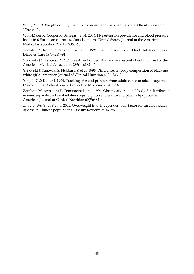Wing R 1993. Weight cycling: the public concern and the scientific data. Obesity Research 1(5):390–1.

Wolf-Maier K, Cooper R, Banegas J et al. 2003. Hypertension prevalence and blood pressure levels in 6 European countries, Canada and the United States. Journal of the American Medical Association 289(18):2363–9.

Yamahita S, Kotani K, Nakamutra T et al. 1996. Insulin resistance and body fat distribution. Diabetes Care 19(3):287–91.

Yanovski J & Yanovski S 2003. Treatment of pediatric and adolescent obesity. Journal of the American Medical Association 289(14):1851–5.

Yanovski J, Yanovski S, Hubbard K et al. 1996. Differences in body composition of black and white girls. American Journal of Clinical Nutrition 64(6):833–9.

Yong L-C & Kuller L 1994. Tracking of blood pressure from adolescence to middle age: the Dormont High School Study. Preventive Medicine 23:418–26.

Zamboni M, Armellini F, Cominacini L et al. 1994. Obesity and regional body-fat distribution in men: separate and joint relationships to glucose tolerance and plasma lipoproteins. American Journal of Clinical Nutrition 60(5):682–4.

Zhou B, Wu Y, Li Y et al. 2002. Overweight is an independent risk factor for cardiovascular disease in Chinese populations. Obesity Reviews 3:147–56.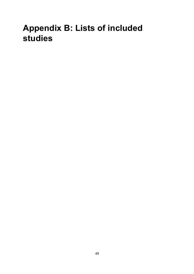# **Appendix B: Lists of included studies**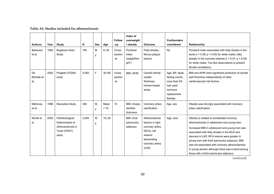| <b>Authors</b>          | Year | Study                                                                             | N     | <b>Sex</b> | Age            | <b>Follow</b><br>-up     | Index of<br>overweight<br>/ obesity            | <b>Outcome</b>                                                                                                              | <b>Confounders</b><br>considered                                                                      | Relationship                                                                                                                                                                                                                                                                                                                                                                                                                                   |
|-------------------------|------|-----------------------------------------------------------------------------------|-------|------------|----------------|--------------------------|------------------------------------------------|-----------------------------------------------------------------------------------------------------------------------------|-------------------------------------------------------------------------------------------------------|------------------------------------------------------------------------------------------------------------------------------------------------------------------------------------------------------------------------------------------------------------------------------------------------------------------------------------------------------------------------------------------------------------------------------------------------|
| Berenson<br>et al.      | 1992 | Bogalusa Heart<br>Study                                                           | 150   | M<br>F     | $6 - 30$       | Cross-<br>section<br>-al | Ponderal<br>index<br>(weight/hei-<br>$ght^3$ ) | Fatty streaks,<br>fibrous plaque<br>lesions                                                                                 | <b>No</b>                                                                                             | Ponderal index associated with fatty streaks in the<br>aorta ( $r = 0.38$ ; $p < 0.05$ ) for white males; fatty<br>streaks in the coronary arteries ( $r = 0.37$ ; $p < 0.05$ )<br>for white males. Too few observations to present<br>female correlations.                                                                                                                                                                                    |
| De<br>Michele et<br>al. | 2002 | Progetto ATENA<br>study                                                           | 5,062 | F          | $30 - 69$      | Cross-<br>section<br>-al | BMI, WHR                                       | Carotid intimal-<br>medial<br>thickness,<br>intimal-medial<br>areas                                                         | Age, BP, lipids,<br>fasting insulin.<br>Less than 5%<br>had used<br>hormone<br>replacement<br>therapy | BMI and WHR were significant predictors of carotid<br>wall thickness independently of other<br>cardiovascular risk factors.                                                                                                                                                                                                                                                                                                                    |
| Mahoney<br>et al.       | 1996 | Muscatine Study                                                                   | 384   | M<br>F     | Mean<br>$= 15$ | 15                       | BMI, triceps<br>skinfold<br>thickness          | Coronary artery<br>calcification                                                                                            | Age, sex                                                                                              | Obesity was strongly associated with coronary<br>artery calcification.                                                                                                                                                                                                                                                                                                                                                                         |
| McGill et<br>al.        | 2002 | Pathobiological<br>Determinants of<br>Atherosclerosis in<br>Youth (PDAY)<br>study | 3,000 | M<br>F     | $15 - 34$      |                          | BMI, thick<br>panniculus<br>adiposus           | Atherosclerotic<br>lesions in right<br>coronary artery<br>(RCA), left<br>anterior<br>descending<br>coronary artery<br>(LAD) | Age, race                                                                                             | Obesity is related to accelerated coronary<br>atherosclerosis in adolescent and young men.<br>Increased BMI in adolescent and young men was<br>associated with fatty streaks in the RCA and<br>stenosis in LAD. RCA lesions were greater in<br>young men with thick panniculus adiposus. BMI<br>was not associated with coronary atherosclerosis<br>in young women although there was a trend among<br>those with a thick panniculus adiposus. |

#### **Table A1: Studies included for atherosclerosis**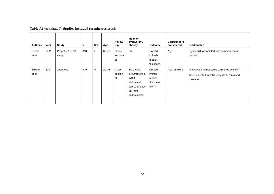| <b>Authors</b>   | Year | Study                   | N   | Sex | Age       | <b>Follow</b><br>-up     | Index of<br>overweight/<br>obesity                                                                 | <b>Outcome</b>                                      | <b>Confounders</b><br>considered | Relationship                                                                                            |
|------------------|------|-------------------------|-----|-----|-----------|--------------------------|----------------------------------------------------------------------------------------------------|-----------------------------------------------------|----------------------------------|---------------------------------------------------------------------------------------------------------|
| Rubba<br>et al.  | 2001 | Progetto ATENA<br>study | 310 | F   | $30 - 69$ | Cross-<br>section-<br>al | <b>BMI</b>                                                                                         | Carotid<br>intimal-<br>medial<br>thickness          | Age                              | Higher BMI associated with common carotid<br>plaques.                                                   |
| Takami<br>et al. | 2001 | Japanese                | 849 | M   | $20 - 78$ | Cross-<br>section-<br>al | BMI, waist<br>circumference,<br>WHR,<br>abdominal<br>sub-cutaneous<br>fat, intra-<br>abdominal fat | Carotid<br>intimal-<br>medial<br>thickness<br>(IMT) | Age, smoking                     | All overweight measures correlated with IMT.<br>When adjusted for BMI, only WHR remained<br>correlated. |

## **Table A1 (continued): Studies included for atherosclerosis**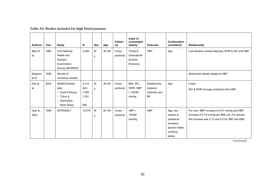|                        |      |                                                                                                      |                                          |                                                                                            |           |                     | Index of                                         |                                                       |                                                                                          |                                                                                                                                                 |
|------------------------|------|------------------------------------------------------------------------------------------------------|------------------------------------------|--------------------------------------------------------------------------------------------|-----------|---------------------|--------------------------------------------------|-------------------------------------------------------|------------------------------------------------------------------------------------------|-------------------------------------------------------------------------------------------------------------------------------------------------|
| <b>Authors</b>         | Year | Study                                                                                                | N                                        | <b>Sex</b>                                                                                 | Age       | Follow-<br>up       | overweight/<br>obesity                           | <b>Outcome</b>                                        | <b>Confounders</b><br>considered                                                         | Relationship                                                                                                                                    |
| <b>Blair</b> et<br>al. | 1984 | <b>First National</b><br>Health and<br>Nutrition<br>Examination<br>Survey (NHANES)                   | 5,506                                    | $\mathsf{M}% _{T}=\mathsf{M}_{T}\!\left( a,b\right) ,\ \mathsf{M}_{T}=\mathsf{M}_{T}$<br>F | $30 - 59$ | Cross-<br>sectional | Tricep &<br>subscapular<br>skinfold<br>thickness | <b>HBP</b>                                            | Age                                                                                      | Link between central adiposity WHR & WC and HBP                                                                                                 |
| Despres<br>et al.      | 1990 | Review of<br>numerous studies                                                                        |                                          |                                                                                            |           |                     |                                                  |                                                       |                                                                                          | Abdominal obesity related to HBP                                                                                                                |
| Doll et<br>al.         | 2002 | <b>MONICA/Swiss</b><br>data<br>- Vaud-Fribourg<br>$-$ Ticino &<br>- Seychelles<br><b>Heart Study</b> | 3,116<br>(tot.)<br>1,065<br>1,361<br>690 | M<br>F                                                                                     | $35 - 64$ | Cross-<br>sectional | BMI, WC,<br>WHR, HBP<br>$\geq 140/90$<br>mmHg    | Relationship<br>between<br>adiposity and<br><b>BP</b> | Age                                                                                      | Linear<br>WC & WHR stronger predictors than BMI                                                                                                 |
| Dyer &<br>Elliot       | 1989 | <b>INTERSALT</b>                                                                                     | 10,079                                   | M<br>F                                                                                     | $20 - 59$ | Cross-<br>sectional | $HBP \geq$<br>140/90<br>mm/Hg                    | <b>HBP</b>                                            | Age, sex,<br>sodium &<br>potassium<br>excretion,<br>alcohol intake.<br>smoking<br>status | For men, SBP increase of 0.91 mmHg and DBP<br>increase of 0.75 mmHg per BMI unit. For women,<br>this increase was 0.72 and 0.5 for SBP and DBP. |

**Table A2: Studies included for high blood pressure**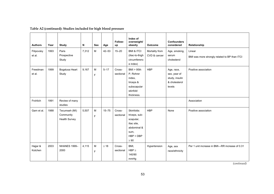| <b>Authors</b>       | Year | <b>Study</b>                                | N     | Sex              | Age       | Follow-<br>up       | Index of<br>overweight/<br>obesity                                                                         | <b>Outcome</b>                 | <b>Confounders</b><br>considered                                        | Relationship                                            |
|----------------------|------|---------------------------------------------|-------|------------------|-----------|---------------------|------------------------------------------------------------------------------------------------------------|--------------------------------|-------------------------------------------------------------------------|---------------------------------------------------------|
| Filipovsky<br>et al. | 1993 | Paris<br>Prospective<br>Study               | 7,312 | M                | $42 - 53$ | $15 - 20$           | <b>BMI &amp; ITCI</b><br>(iliac-to-thigh<br>circumferenc<br>e index)                                       | Mortality from<br>CVD & cancer | Age, smoking,<br>serum<br>cholesterol                                   | Linear<br>BMI was more strongly related to BP than ITCI |
| Freedman<br>et al.   | 1999 | Bogalusa Heart<br>Study                     | 9,167 | M<br>$\mathsf F$ | $5 - 17$  | Cross-<br>sectional | BMI > 95th<br>P. Rohrer<br>index,<br>triceps &<br>subscapular<br>skinfold<br>thickness.                    | <b>HBP</b>                     | Age, race,<br>sex, year of<br>study, insulin<br>& cholesterol<br>levels | Positive association                                    |
| Frohlich             | 1991 | Review of many<br>studies                   |       |                  |           |                     |                                                                                                            |                                |                                                                         | Association                                             |
| Garn et al.          | 1988 | Tecumseh (MI)<br>Community<br>Health Survey | 5,507 | M<br>$\mathsf F$ | $15 - 75$ | Cross-<br>sectional | Skinfolds:<br>triceps, sub-<br>scapular,<br>iliac site.<br>abdominal &<br>sum,<br>$HBP = DBP$<br>$\geq 90$ | <b>HBP</b>                     | None                                                                    | Positive association                                    |
| Hajjar &<br>Kotchen  | 2003 | <b>NHANES 1999-</b><br>2000                 | 4,115 | M<br>F           | $\geq 18$ | Cross-<br>sectional | BMI,<br>$HBP \geq$<br>140/90<br>mmHg                                                                       | Hypertension                   | Age, sex<br>race/ethnicity                                              | Per 1 unit increase in BMI-RR increase of 0.31          |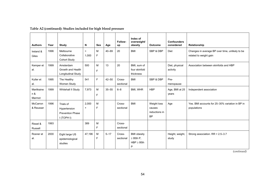| <b>Authors</b>              | Year | Study                                                              | N               | <b>Sex</b> | Age       | Follow-<br>up       | Index of<br>overweight/<br>obesity                           | <b>Outcome</b>                                      | <b>Confounders</b><br>considered | Relationship                                                              |
|-----------------------------|------|--------------------------------------------------------------------|-----------------|------------|-----------|---------------------|--------------------------------------------------------------|-----------------------------------------------------|----------------------------------|---------------------------------------------------------------------------|
| Ireland &<br>Giles          | 1996 | Melbourne<br>Collaborative<br><b>Cohort Study</b>                  | $\geq$<br>1.000 | м<br>F     | $40 - 69$ | 20                  | <b>BMI</b>                                                   | SBP & DBP                                           | Diet                             | Changes in average BP over time, unlikely to be<br>related to weight gain |
| Kemper et<br>al.            | 1999 | Amsterdam<br>Growth and Health<br>Longitudinal Study               | 500             | M<br>F     | 13        | 20                  | BMI, sum of<br>four skinfold<br>thickness                    |                                                     | Diet, physical<br>activity       | Association between skinfolds and HBP                                     |
| Kuller et<br>al.            | 1995 | The Healthy<br>Women Study                                         | 541             | F          | $42 - 50$ | Cross-<br>sectional | <b>BMI</b>                                                   | SBP & DBP                                           | Pre-<br>menopause                |                                                                           |
| Martikaine<br>n &<br>Marmot | 1999 | Whitehall II Study                                                 | 7,973           | м<br>F     | $35 - 55$ | $6 - 8$             | BMI, WHR                                                     | <b>HBP</b>                                          | Age, BMI at 25<br>years          | Independent association                                                   |
| McCarron<br>& Reusser       | 1996 | Trials of<br>Hypertension<br><b>Prevention Phase</b><br>I (TOPH I) | 2,000<br>$+$    | M<br>F     |           | Cross-<br>sectional | <b>BMI</b>                                                   | Weight loss<br>causes<br>reductions in<br><b>BP</b> | Age                              | Yes. BMI accounts for 25-30% variation in BP in<br>populations            |
| Rissel &<br>Russell         | 1993 |                                                                    | 389             | M<br>F     |           | Cross-<br>sectional |                                                              |                                                     |                                  |                                                                           |
| Rosner et<br>al.            | 2000 | Eight large US<br>epidemiological<br>studies                       | 47,196          | M<br>F     | $5 - 17$  | Cross-<br>sectional | <b>BMI</b> obesity<br>$\geq$ 95th P,<br>$HBP \geq 95th$<br>P |                                                     | Height, weight,<br>study         | Strong association. $RR = 2.5 - 3.7$                                      |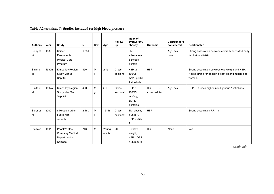| <b>Authors</b>  | Year  | Study                                                       | N     | <b>Sex</b> | Age             | Follow-<br>up       | Index of<br>overweight/<br>obesity                           | <b>Outcome</b>            | <b>Confounders</b><br>considered | Relationship                                                                                                   |
|-----------------|-------|-------------------------------------------------------------|-------|------------|-----------------|---------------------|--------------------------------------------------------------|---------------------------|----------------------------------|----------------------------------------------------------------------------------------------------------------|
| Selby et<br>al. | 1989  | Kaiser<br>Permanente<br><b>Medical Care</b><br>Program      | 1.031 |            |                 |                     | BMI.<br>subscapular<br>& triceps<br>skinfold                 |                           | Age, sex,<br>race,               | Strong association between centrally deposited body<br>fat, BMI and HBP                                        |
| Smith et<br>al. | 1992a | Kimberley Region<br>Study Mar 88-<br>Sept 89                | 490   | M<br>F     | $\geq 15$       | Cross-<br>sectional | HBP $\geq$<br>160/95<br>mm/Hg, BMI<br>& skinfolds            | <b>HBP</b>                |                                  | Strong association between overweight and HBP.<br>Not so strong for obesity except among middle-age-<br>women. |
| Smith et<br>al. | 1992a | Kimberley Region<br>Study Mar 88-<br>Sept 89                | 490   | M<br>F     | $\geq 15$       | Cross-<br>sectional | $HBP \geq$<br>160/95<br>mm/Hg,<br>BMI&<br>skinfolds          | HBP, ECG<br>abnormalities | Age, sex                         | HBP 2-3 times higher in Indigenous Australians.                                                                |
| Sorof et<br>al. | 2002  | 8 Houston urban<br>public high<br>schools                   | 2.460 | M<br>F     | $12 - 16$       | Cross-<br>sectional | <b>BMI</b> obesity<br>$\geq$ 95th P,<br>$HBP \geq 95th$<br>P | <b>HBP</b>                |                                  | Strong association RR = 3                                                                                      |
| Stamler         | 1991  | People's Gas<br>Company Medical<br>Department in<br>Chicago | 746   | M          | Young<br>adults | 20                  | Relative<br>weight,<br>$HBP = DBP$<br>$\geq$ 95 mmHg         | <b>HBP</b>                | None                             | Yes                                                                                                            |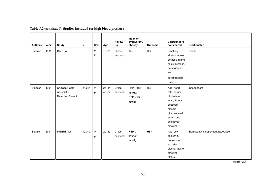| <b>Authors</b> | Year | <b>Study</b>                                             | N      | Sex            | Age                    | Follow-<br>up       | Index of<br>overweight/<br>obesity               | Outcome    | <b>Confounders</b><br>considered                                                                                                          | Relationship                          |
|----------------|------|----------------------------------------------------------|--------|----------------|------------------------|---------------------|--------------------------------------------------|------------|-------------------------------------------------------------------------------------------------------------------------------------------|---------------------------------------|
| Stamler        | 1991 | CARDIA                                                   |        | M<br>F         | $15 - 30$              | Cross-<br>sectional | <b>BMI</b>                                       | <b>HBP</b> | Smoking,<br>alcohol intake,<br>potassium and<br>calcium intake,<br>demographic<br>and<br>psychosocial<br>traits                           | Linear                                |
| Stamler        | 1991 | Chicago Heart<br>Association<br><b>Detection Project</b> | 21,024 | ${\sf M}$<br>F | $25 - 44$<br>$45 - 64$ | Cross-<br>sectional | $SBP \geq 160$<br>mmHg;<br>$DBP \geq 95$<br>mmHg | <b>HBP</b> | Age, heart<br>rate, serum<br>cholesterol<br>level, 1-hour<br>postload<br>plasma<br>glucose level,<br>serum uric<br>acid level,<br>smoking | Independent                           |
| Stamler        | 1991 | <b>INTERSALT</b>                                         | 10,079 | M<br>F         | $20 - 59$              | Cross-<br>sectional | $HBP \geq$<br>140/90<br>mmHg                     | <b>HBP</b> | Age, sex<br>sodium &<br>potassium<br>excretion,<br>alcohol intake,<br>smoking<br>status                                                   | Significantly independent association |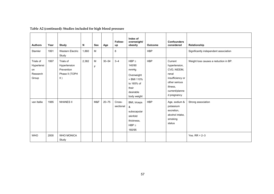| <b>Authors</b>                                     | Year | <b>Study</b>                                                     | N     | <b>Sex</b> | Age       | Follow-<br>up       | Index of<br>overweight/<br>obesity                                                                            | <b>Outcome</b> | <b>Confounders</b><br>considered                                                                                                   | Relationship                          |
|----------------------------------------------------|------|------------------------------------------------------------------|-------|------------|-----------|---------------------|---------------------------------------------------------------------------------------------------------------|----------------|------------------------------------------------------------------------------------------------------------------------------------|---------------------------------------|
| Stamler                                            | 1991 | <b>Western Electric</b><br>Study                                 | 1,860 | M          |           | 8                   |                                                                                                               | <b>HBP</b>     |                                                                                                                                    | Significantly independent association |
| Trials of<br>Hypertensi<br>on<br>Research<br>Group | 1997 | Trials of<br>Hypertension<br>Prevention<br>Phase II (TOPH<br>II) | 2,382 | M<br>F     | $30 - 54$ | $3 - 4$             | $HBP \geq$<br>140/90<br>mmHg<br>Overweight<br>$=$ BMI 110%<br>to 165% of<br>their<br>desirable<br>body weight | <b>HBP</b>     | Current<br>hypertension,<br>CVD, NIDDM,<br>renal<br>insufficiency or<br>other serious<br>illness.<br>current/planne<br>d pregnancy | Weight loss causes a reduction in BP. |
| van Itallie                                        | 1985 | <b>NHANES II</b>                                                 |       | M&F        | $20 - 75$ | Cross-<br>sectional | BMI, triceps<br>&<br>subscapular<br>skinfold<br>thickness,<br>$HBP \geq$<br>160/95                            | <b>HBP</b>     | Age, sodium &<br>potassium<br>excretion,<br>alcohol intake,<br>smoking<br>status                                                   | Strong association                    |
| <b>WHO</b>                                         | 2000 | <b>WHO MONICA</b><br>Study                                       |       |            |           |                     |                                                                                                               |                |                                                                                                                                    | Yes. $RR = 2 - 3$                     |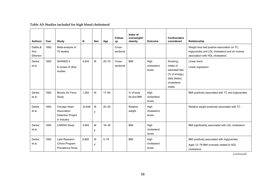## **Table A3: Studies included for high blood cholesterol**

| <b>Authors</b>                 | Year | Study                                                                   | N      | <b>Sex</b> | Age       | Follow-<br>up       | Index of<br>overweight/<br>obesity | <b>Outcome</b>                | <b>Confounders</b><br>considered                                                                    | Relationship                                                                                                                         |
|--------------------------------|------|-------------------------------------------------------------------------|--------|------------|-----------|---------------------|------------------------------------|-------------------------------|-----------------------------------------------------------------------------------------------------|--------------------------------------------------------------------------------------------------------------------------------------|
| Dattilo &<br>Kris-<br>Etherton | 1992 | Meta-analysis of<br>70 studies                                          |        |            |           | Cross-<br>sectional |                                    |                               |                                                                                                     | Weight loss had positive association on TC,<br>triglycerides and LDL cholesterol and an inverse<br>association with HDL cholesterol. |
| Denke<br>et al.                | 1993 | <b>NHANES II</b><br>& review of other<br>studies                        | 4.834  | M          | $20 - 74$ | Cross-<br>sectional | <b>BMI</b>                         | High<br>cholesterol<br>levels | Smoking,<br>intake of<br>saturated fats<br>(% of energy),<br>daily dietary<br>cholesterol<br>intake | Linear trend<br>Linear regression                                                                                                    |
| Denke<br>et al.                | 1993 | <b>Brooks Air Force</b><br>Study                                        | 1,264  | M          | $17 - 64$ |                     | % of body<br>fat and BMI           | High<br>cholesterol<br>levels |                                                                                                     | BMI positively associated with TC and triglycerides                                                                                  |
| Denke<br>et al.                | 1993 | Chicago Heart<br>Association<br><b>Detection Project</b><br>in Industry | 33,648 | M<br>F     | $20 - 55$ |                     | Relative<br>weight                 | High<br>cholesterol<br>levels |                                                                                                     | Relative weight positively associated with TC                                                                                        |
| Denke<br>et al.                | 1993 | <b>CARDIA Study</b>                                                     | 4,955  | M<br>F     | $18 - 30$ |                     | <b>BMI</b>                         | High<br>cholesterol<br>levels |                                                                                                     | BMI significantly associated with LDL cholesterol                                                                                    |
| Denke<br>et al.                | 1993 | Lipid Research<br>Clinics Program<br>Prevalence Study                   | 6.865  | M<br>F     | $4 - 79$  |                     | <b>BMI</b>                         | High<br>cholesterol<br>levels |                                                                                                     | BMI positively associated with triglycerides<br>Ages 12-79 BMI inversely related to HDL<br>cholesterol                               |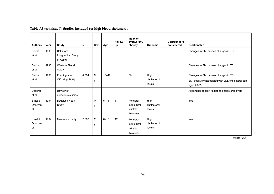| <b>Authors</b>           | Year | <b>Study</b>                                       | N     | Sex    | Age       | Follow-<br>up | Index of<br>overweight/<br>obesity               | <b>Outcome</b>                | <b>Confounders</b><br>considered | Relationship                                                                                              |
|--------------------------|------|----------------------------------------------------|-------|--------|-----------|---------------|--------------------------------------------------|-------------------------------|----------------------------------|-----------------------------------------------------------------------------------------------------------|
| Denke<br>et al.          | 1993 | <b>Baltimore</b><br>Longitudinal Study<br>of Aging |       |        |           |               |                                                  |                               |                                  | Changes in BMI causes changes in TC                                                                       |
| Denke<br>et al.          | 1993 | <b>Western Electric</b><br>Study                   |       |        |           |               |                                                  |                               |                                  | Changes in BMI causes changes in TC                                                                       |
| Denke<br>et al.          | 1993 | Framingham<br><b>Offspring Study</b>               | 4.304 | M<br>F | $16 - 49$ |               | <b>BMI</b>                                       | High<br>cholesterol<br>levels |                                  | Changes in BMI causes changes in TC.<br>BMI positively associated with LDL cholesterol esp.<br>aged 20-29 |
| Despres<br>et al.        |      | Review of<br>numerous studies                      |       |        |           |               |                                                  |                               |                                  | Abdominal obesity related to cholesterol levels                                                           |
| Ernst &<br>Obarzan<br>ek | 1994 | Bogalusa Heart<br>Study                            |       | M<br>F | $5 - 14$  | 11            | Ponderal<br>index, BMI,<br>skinfold<br>thickness | High<br>cholesterol<br>levels |                                  | Yes                                                                                                       |
| Ernst &<br>Obarzan<br>ek | 1994 | Muscatine Study                                    | 2.367 | M<br>F | $8 - 18$  | 12            | Ponderal<br>index, BMI,<br>skinfold<br>thickness | High<br>cholesterol<br>levels |                                  | Yes                                                                                                       |

# **Table A3 (continued): Studies included for high blood cholesterol**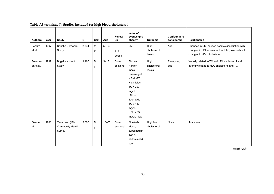| <b>Authors</b>       | Year | <b>Study</b>                                | N     | <b>Sex</b>     | Age       | Follow-<br>up       | Index of<br>overweight/<br>obesity                                                                                                                                                  | <b>Outcome</b>                | <b>Confounders</b><br>considered | Relationship                                                                                                                        |
|----------------------|------|---------------------------------------------|-------|----------------|-----------|---------------------|-------------------------------------------------------------------------------------------------------------------------------------------------------------------------------------|-------------------------------|----------------------------------|-------------------------------------------------------------------------------------------------------------------------------------|
| Ferrara<br>et al.    | 1997 | Rancho Bernardo<br>Study                    | 2,344 | M<br>F         | $50 - 93$ | 8<br>917<br>people  | <b>BMI</b>                                                                                                                                                                          | High<br>cholesterol<br>levels | Age                              | Changes in BMI caused positive association with<br>changes in LDL cholesterol and TC; inversely with<br>changes in HDL cholesterol. |
| Freedm-<br>an et al. | 1999 | Bogalusa Heart<br>Study                     | 9,167 | ${\sf M}$<br>F | $5 - 17$  | Cross-<br>sectional | <b>BMI</b> and<br>Rohrer<br>Index<br>Overweight<br>$= BMl \geq 27$<br>High lipids:<br>TC > 200<br>mg/dL<br>LDL ><br>130mg/dL<br>$TG \geq 130$<br>mg/dL<br>HDL < 35<br>$mg/dL = low$ | High<br>cholesterol<br>levels | Race, sex,<br>age                | Weakly related to TC and LDL cholesterol and<br>strongly related to HDL cholesterol and TG                                          |
| Garn et<br>al.       | 1988 | Tecumseh (MI)<br>Community Health<br>Survey | 5.507 | M<br>F         | $15 - 75$ | Cross-<br>sectional | Skinfolds:<br>tricep,<br>subscapular,<br>iliac &<br>abdominal &<br>sum                                                                                                              | High blood<br>cholesterol     | None                             | Associated                                                                                                                          |

### **Table A3 (continued): Studies included for high blood cholesterol**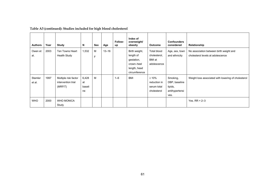| <b>Authors</b>    | Year | <b>Study</b>                                          | N                           | Sex     | Age       | Follow-<br>up | Index of<br>overweight/<br>obesity                                                      | <b>Outcome</b>                                            | <b>Confounders</b><br>considered                               | Relationship                                                                 |
|-------------------|------|-------------------------------------------------------|-----------------------------|---------|-----------|---------------|-----------------------------------------------------------------------------------------|-----------------------------------------------------------|----------------------------------------------------------------|------------------------------------------------------------------------------|
| Owen et<br>al.    | 2003 | Ten Towns Heart<br><b>Health Study</b>                | 1,532                       | M<br>F. | $13 - 16$ |               | Birth weight,<br>length of<br>gestation,<br>crown-heel<br>length, head<br>circumference | Total blood<br>cholesterol,<br>BMI at<br>adolescence      | Age, sex, town<br>and ethnicity                                | No association between birth weight and<br>cholesterol levels at adolescence |
| Stamler<br>et al. | 1997 | Multiple risk factor<br>intervention trial<br>(MRFIT) | 6,428<br>at<br>baseli<br>ne | M       |           | $1 - 6$       | <b>BMI</b>                                                                              | $\geq 10\%$<br>reduction in<br>serum total<br>cholesterol | Smoking,<br>DBP, baseline<br>lipids,<br>antihypertensi<br>ves. | Weight loss associated with lowering of cholesterol                          |
| <b>WHO</b>        | 2000 | <b>WHO MONICA</b><br>Study                            |                             |         |           |               |                                                                                         |                                                           |                                                                | Yes. $RR = 2 - 3$                                                            |

# **Table A3 (continued): Studies included for high blood cholesterol**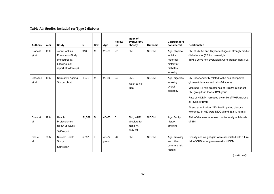| <b>Authors</b>            | Year | Study                                                                                       | N      | <b>Sex</b> | Age                | Follow-<br>up | Index of<br>overweight/<br>obesity               | Outcome      | <b>Confounders</b><br>considered                                             | Relationship                                                                                                                                                                                                                                                                                                                                                     |
|---------------------------|------|---------------------------------------------------------------------------------------------|--------|------------|--------------------|---------------|--------------------------------------------------|--------------|------------------------------------------------------------------------------|------------------------------------------------------------------------------------------------------------------------------------------------------------------------------------------------------------------------------------------------------------------------------------------------------------------------------------------------------------------|
| <b>Brancati</b><br>et al. | 1999 | John Hopkins<br>Precursors Study<br>(measured at<br>baseline, self-<br>report at follow-up) | 916    | М          | $20 - 29$          | 27            | <b>BMI</b>                                       | <b>NIDDM</b> | Age, physical<br>activity,<br>maternal<br>history of<br>diabetes.<br>smoking | BMI at 25, 35 and 45 years of age all strongly predict<br>diabetes risk (RR for overweight<br>BMI $\geq$ 25 vs non-overweight were greater than 3.0).                                                                                                                                                                                                            |
| Cassano<br>et al.         | 1992 | Normative Ageing<br>Study cohort                                                            | 1,972  | М          | 22-80              | 24            | BMI,<br>Waist-to-hip<br>ratio                    | <b>NIDDM</b> | Age, cigarette<br>smoking,<br>overall<br>adiposity                           | BMI independently related to the risk of impaired<br>glucose tolerance and risk of diabetes.<br>Men had 1.3-fold greater risk of NIDDM in highest<br>BMI group than lowest BMI group<br>Rate of NIDDM increased by tertile of WHR (across<br>all levels of BMI)<br>At end examination, 22% had impaired glucose<br>tolerance, 11.5% were NIDDM and 66.5% normal. |
| Chan et<br>al.            | 1994 | Health<br>Professionals'<br>follow-up Study<br>Self report                                  | 51,529 | M          | $40 - 75$          | 5             | BMI, WHR,<br>absolute fat<br>mass, %<br>body fat | <b>NIDDM</b> | Age, family<br>history,<br>smoking                                           | Risk of diabetes increased continuously with levels<br>of BMI                                                                                                                                                                                                                                                                                                    |
| Cho et<br>al.             | 2002 | Nurses' Health<br>Study<br>Self-report                                                      | 5.897  | F          | $40 - 74$<br>years | 20            | <b>BMI</b>                                       | <b>NIDDM</b> | Age, smoking<br>and other<br>coronary risk<br>factors                        | Obesity and weight gain were associated with future<br>risk of CHD among women with NIDDM                                                                                                                                                                                                                                                                        |

# **Table A4: Studies included for Type 2 diabetes**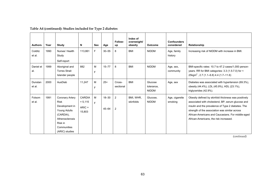| <b>Authors</b>    | Year | Study                                                                                                                                               | N                                         | <b>Sex</b> | Age                    | Follow-<br>up       | Index of<br>overweight/<br>obesity | <b>Outcome</b>                        | <b>Confounders</b><br>considered | Relationship                                                                                                                                                                                                                                                                                                      |
|-------------------|------|-----------------------------------------------------------------------------------------------------------------------------------------------------|-------------------------------------------|------------|------------------------|---------------------|------------------------------------|---------------------------------------|----------------------------------|-------------------------------------------------------------------------------------------------------------------------------------------------------------------------------------------------------------------------------------------------------------------------------------------------------------------|
| Colditz<br>et al. | 1990 | Nurses' Health<br>Study<br>Self-report                                                                                                              | 113.861                                   | F.         | $30 - 55$              | 8                   | <b>BMI</b>                         | <b>NIDDM</b>                          | Age, family<br>history           | Increasing risk of NIDDM with increase in BMI.                                                                                                                                                                                                                                                                    |
| Daniel et<br>al.  | 1999 | Aboriginal and<br><b>Torres Strait</b><br>Islander people                                                                                           | 882                                       | M<br>F     | $15 - 77$              | 8                   | <b>BMI</b>                         | <b>NIDDM</b>                          | Age, sex,<br>community           | BMI-specific rates: 10.7 to 47.2 cases/1,000 person-<br>years. RR for BMI categories: 3.3 (1.5-7.0) for <<br>25kgm <sup>2</sup> , 2.7 (1.1–6.8) 4.4 (1.7–11.6)                                                                                                                                                    |
| Dunstan<br>et al. | 2000 | AusDiab                                                                                                                                             | 11,247                                    | M<br>F     | $25+$                  | Cross-<br>sectional | <b>BMI</b>                         | Glucose<br>tolerance,<br><b>NIDDM</b> | Age, sex                         | Diabetes was associated with hypertension (69.3%),<br>obesity (44.4%), LDL (45.9%), HDL (23.1%),<br>triglycerides (42.9%).                                                                                                                                                                                        |
| Folsom<br>et al.  | 1991 | Coronary Artery<br><b>Risk</b><br>Development in<br><b>Young Adults</b><br>(CARDIA),<br>Atherosclerosis<br>Risk in<br>Communities<br>(ARIC) studies | CARDIA<br>$= 5,115$<br>$ARIC =$<br>15,803 | M<br>F     | $18 - 30$<br>$45 - 64$ | $\overline{2}$<br>2 | BMI, WHR,<br>skinfolds             | Glucose,<br><b>NIDDM</b>              | Age, cigarette<br>smoking        | Obesity defined by skinfold thickness was positively<br>associated with cholesterol, BP, serum glucose and<br>insulin and the prevalence of Type 2 diabetes. The<br>strength of the association was similar across<br>African-Americans and Caucasians. For middle-aged<br>African-Americans, the risk increased. |

# **Table A4 (continued): Studies included for Type 2 diabetes**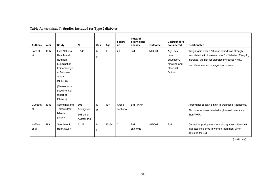| <b>Authors</b>    | Year | Study                                                                                                                                                                              | N                                             | Sex    | Age       | Follow-<br>up       | Index of<br>overweight/<br>obesity | <b>Outcome</b> | <b>Confounders</b><br>considered                                         | Relationship                                                                                                                                                                                          |
|-------------------|------|------------------------------------------------------------------------------------------------------------------------------------------------------------------------------------|-----------------------------------------------|--------|-----------|---------------------|------------------------------------|----------------|--------------------------------------------------------------------------|-------------------------------------------------------------------------------------------------------------------------------------------------------------------------------------------------------|
| Ford et<br>al.    | 1997 | <b>First National</b><br>Health and<br>Nutrition<br>Examination<br>Epidemiologic<br>al Follow-up<br>Study<br>(NHEFS)<br>(Measured at<br>baseline, self-<br>report at<br>follow-up) | 8,545                                         | M<br>E | $18+$     | 21                  | <b>BMI</b>                         | <b>NIDDM</b>   | Age, sex,<br>race,<br>education,<br>smoking and<br>other risk<br>factors | Weight gain over a 10-year period was strongly<br>associated with increased risk for diabetes. Every kg<br>increase, the risk for diabetes increases 4.5%.<br>No differences across age, sex or race. |
| Guest et<br>al.   | 1993 | Aboriginal and<br><b>Torres Strait</b><br>Islander<br>people                                                                                                                       | 306<br>Aborigines<br>553 other<br>Australians | M<br>E | $13+$     | Cross-<br>sectional | BMI, WHR                           |                |                                                                          | Abdominal obesity is high in urbanised Aborigines.<br>BMI is more associated with glucose intolerance<br>than WHR.                                                                                    |
| Haffner<br>et al. | 1991 | San Antonio<br><b>Heart Study</b>                                                                                                                                                  | 2,117                                         | M<br>F | $25 - 64$ | 3                   | BMI,<br>skinfolds                  | <b>NIDDM</b>   | <b>BMI</b>                                                               | Central adiposity was more strongly associated with<br>diabetes incidence in women than men, when<br>adjusted for BMI                                                                                 |

# **Table A4 (continued): Studies included for Type 2 diabetes**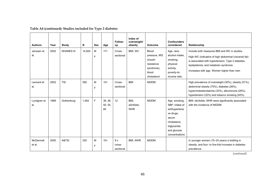| <b>Authors</b><br>Janssen et | Year<br>2002 | Study<br><b>NHANES III</b> | N<br>14,924 | <b>Sex</b><br>M | Age<br>$17+$             | Follow-<br>up<br>Cross-    | Index of<br>overweight/<br>obesity<br>BMI, WC | <b>Outcome</b><br><b>Blood</b>                                                | <b>Confounders</b><br>considered<br>Age, race,                                                                                            | Relationship<br>Include both measures BMI and WC in studies.                                                                                                                                        |
|------------------------------|--------------|----------------------------|-------------|-----------------|--------------------------|----------------------------|-----------------------------------------------|-------------------------------------------------------------------------------|-------------------------------------------------------------------------------------------------------------------------------------------|-----------------------------------------------------------------------------------------------------------------------------------------------------------------------------------------------------|
| al.                          |              |                            |             | F               |                          | sectional                  |                                               | pressure, IRS<br>(insulin<br>resistance<br>syndrome),<br>blood<br>cholesterol | alcohol intake,<br>smoking,<br>physical<br>activity,<br>poverty-to-<br>income ratio                                                       | High WC (indicative of high abdominal (visceral) fat)<br>is associated with hypertension, Type 2 diabetes,<br>dyslipidemia, and metabolic syndrome.<br>Increases with age. Women higher than men    |
| Leonard et<br>al.            | 2002         | <b>TSI</b>                 | 592         | M<br>F          | $15+$                    | Cross-<br>sectional        | <b>BMI</b>                                    | <b>NIDDM</b>                                                                  |                                                                                                                                           | High prevalence of overweight (30%), obesity (51%),<br>abdominal obesity (70%), diabetes (26%),<br>hypercholesterolaemia (33%), albuminuria (28%),<br>hypertension (32%) and tobacco smoking (45%). |
| Lundgren et<br>al.           | 1989         | Gothenburg                 | 1,462       | F               | 38, 46,<br>50, 54,<br>60 | 12                         | BMI.<br>skinfolds,<br><b>WHR</b>              | <b>NIDDM</b>                                                                  | Age, smoking,<br>SBP, intake of<br>antihypertensi<br>ve drugs,<br>serum<br>cholesterol,<br>triglyceride,<br>and glucose<br>concentrations | BMI, skinfolds, WHR were significantly associated<br>with the incidence of NIDDM.                                                                                                                   |
| McDermott<br>et al.          | 2000         | A&TSI                      | 335         | M<br>F          | $15+$                    | 8 x<br>cross-<br>sectional | BMI, WHR                                      | <b>NIDDM</b>                                                                  |                                                                                                                                           | In younger women (15-24 years) a trebling in<br>obesity, and four- to five-fold increase in diabetes<br>prevalence.                                                                                 |

# **Table A4 (continued): Studies included for Type 2 diabetes**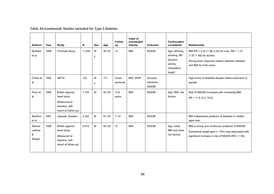| <b>Authors</b>                  | Year | Study                                                                                      | N      | <b>Sex</b> | Age       | Follow-<br>up       | Index of<br>overweight/<br>obesity | <b>Outcome</b>                        | <b>Confounders</b><br>considered                                                   | Relationship                                                                                                                                                  |
|---------------------------------|------|--------------------------------------------------------------------------------------------|--------|------------|-----------|---------------------|------------------------------------|---------------------------------------|------------------------------------------------------------------------------------|---------------------------------------------------------------------------------------------------------------------------------------------------------------|
| Njolstad<br>et al.              | 1998 | Finnmark Study                                                                             | 11.654 | M<br>F     | $35 - 52$ | 12                  | <b>BMI</b>                         | <b>NIDDM</b>                          | Age, ethnicity,<br>smoking, BP,<br>physical<br>activity,<br>cholesterol,<br>height | BMI RR = 2.22 (1.98–2.50) for men, RR = 1.72<br>(1.57-1.88) for women.<br>Strong dose-response relation between diabetes<br>and BMI for both sexes            |
| O'Dea et<br>al.                 | 1990 | A&TSI                                                                                      | 122    | M<br>F     | $17+$     | Cross-<br>sectional | BMI, WHR                           | Glucose<br>tolerance,<br><b>NIDDM</b> |                                                                                    | High levels of diabetes despite relative leanness of<br>sample.                                                                                               |
| Perry et<br>al.                 | 1995 | British regional<br>heart study<br>(Measured at<br>baseline, self-<br>report at follow-up) | 7,735  | M          | $40 - 59$ | 12.8<br>years       | <b>BMI</b>                         | <b>NIDDM</b>                          | Age, BMI, risk<br>factors                                                          | Risk of NIDDM increased with increasing BMI.<br>$RR = 11.6(5.4, 16.8)$                                                                                        |
| <b>Skarfors</b><br>et al.       | 1991 | Uppsala, Sweden                                                                            | 2,322  | M          | $47 - 53$ | $7 - 14$            | <b>BMI</b>                         | <b>NIDDM</b>                          |                                                                                    | BMI independent predictor of diabetes in middle-<br>aged men                                                                                                  |
| Wanna-<br>methee<br>&<br>Shaper | 1999 | British regional<br>heart study<br>(Measured at<br>baseline, self-<br>report at follow-up) | 6.916  | M          | $40 - 59$ | 12                  | <b>BMI</b>                         | <b>NIDDM</b>                          | Age, initial<br>BMI and other<br>risk factors.                                     | BMI is strong and continuous predictor of NIDDM.<br>Substantial weight gain (> 10%) was associated with<br>significant increase in risk of NIDDM (RR = 1.65). |

# **Table A4 (continued): Studies included for Type 2 diabetes**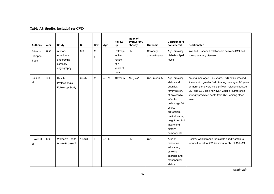#### **Table A5: Studies included for CVD**

| <b>Authors</b>                | Year | <b>Study</b>                                                   | N      | <b>Sex</b> | Age       | Follow-<br>up                                            | Index of<br>overweight/<br>obesity | Outcome                    | <b>Confounders</b><br>considered                                                                                                                                                                                | Relationship                                                                                                                                                                                                                                                           |
|-------------------------------|------|----------------------------------------------------------------|--------|------------|-----------|----------------------------------------------------------|------------------------------------|----------------------------|-----------------------------------------------------------------------------------------------------------------------------------------------------------------------------------------------------------------|------------------------------------------------------------------------------------------------------------------------------------------------------------------------------------------------------------------------------------------------------------------------|
| Adams-<br>Campbe<br>Il et al. | 1995 | African-<br>Americans<br>undergoing<br>coronary<br>angiography | 866    | M<br>F     |           | Retrosp-<br>ective<br>review<br>of 7<br>years of<br>data | <b>BMI</b>                         | Coronary<br>artery disease | Age, smoking,<br>diabetes, lipid<br>levels                                                                                                                                                                      | Inverted U-shaped relationship between BMI and<br>coronary artery disease                                                                                                                                                                                              |
| Baik et<br>al.                | 2000 | Health<br>Professionals<br>Follow-Up Study                     | 39,756 | M          | $40 - 75$ | 10 years                                                 | BMI, WC                            | CVD mortality              | Age, smoking<br>status and<br>quantity,<br>family history<br>of myocardial<br>infarction<br>before age 60<br>years,<br>profession,<br>marital status,<br>height, alcohol<br>intake and<br>dietary<br>components | Among men aged < 65 years, CVD risk increased<br>linearly with greater BMI. Among men aged 65 years<br>or more, there were no significant relations between<br>BMI and CVD risk; however, waist circumference<br>strongly predicted death from CVD among older<br>men. |
| Brown et<br>al.               | 1998 | Women's Health<br>Australia project                            | 13,431 | F          | $45 - 49$ |                                                          | <b>BMI</b>                         | <b>CVD</b>                 | Area of<br>residence,<br>education,<br>smoking,<br>exercise and<br>menopausal<br>status                                                                                                                         | Healthy weight range for middle-aged women to<br>reduce the risk of CVD is about a BMI of 19 to 24.                                                                                                                                                                    |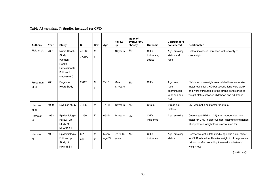| Table A5 (continued): Studies included for CVD |  |
|------------------------------------------------|--|
|------------------------------------------------|--|

| <b>Authors</b>     | Year | Study                                                                                   | N                | <b>Sex</b> | Age            | Follow-<br>up       | Index of<br>overweight/<br>obesity | <b>Outcome</b>              | <b>Confounders</b><br>considered                                  | Relationship                                                                                                                                                                                                 |
|--------------------|------|-----------------------------------------------------------------------------------------|------------------|------------|----------------|---------------------|------------------------------------|-----------------------------|-------------------------------------------------------------------|--------------------------------------------------------------------------------------------------------------------------------------------------------------------------------------------------------------|
| Field et al.       | 2001 | Nurse Health<br>Study<br>(women)<br>Health<br>Professionals<br>Follow-Up<br>study (men) | 46,060<br>77,690 | M<br>F     |                | 10 years            | <b>BMI</b>                         | CHD<br>incidence,<br>stroke | Age, smoking<br>status and<br>race                                | Risk of incidence increased with severity of<br>overweight                                                                                                                                                   |
| Freedman<br>et al. | 2001 | Bogalusa<br><b>Heart Study</b>                                                          | 2.617            | M<br>F     | $2 - 17$       | Mean of<br>17 years | <b>BMI</b>                         | CHD                         | Age, sex,<br>race,<br>examination<br>year and adult<br><b>BMI</b> | Childhood overweight was related to adverse risk<br>factor levels for CHD but associations were weak<br>and were attributable to the strong persistence of<br>weight status between childhood and adulthood. |
| Harmsen<br>et al.  | 1990 | Swedish study                                                                           | 7.495            | M          | $47 - 55$      | 12 years            | <b>BMI</b>                         | <b>Stroke</b>               | Stroke risk<br>factors                                            | BMI was not a risk factor for stroke.                                                                                                                                                                        |
| Harris et<br>al.   | 1993 | Epidemiologic<br>Follow- Up<br>Study of<br><b>NHANES I</b>                              | 1,259            | F          | $65 - 74$      | 14 years            | <b>BMI</b>                         | CHD<br>incidence            | Age, smoking                                                      | Overweight (BMI $>$ = 29) is an independent risk<br>factor for CHD in older women, finding strengthened<br>after previous weight loss is accounted for.                                                      |
| Harris et<br>al.   | 1997 | Epidemiologic<br>Follow- Up<br>Study of<br><b>NHANES I</b>                              | 621<br>960       | M<br>F     | Mean<br>age 77 | Up to 13<br>years   | <b>BMI</b>                         | CHD<br>incidence            | Age, smoking<br>status                                            | Heavier weight in late middle age was a risk factor<br>for CHD in late life. Heavier weight in old age was a<br>risk factor after excluding those with substantial<br>weight loss.                           |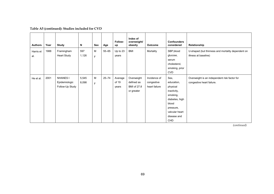| <b>Authors</b> | Year | <b>Study</b>                     | N            | Sex         | Age       | Follow-<br>up     | Index of<br>overweight/<br>obesity | Outcome       | <b>Confounders</b><br>considered | Relationship                                                              |
|----------------|------|----------------------------------|--------------|-------------|-----------|-------------------|------------------------------------|---------------|----------------------------------|---------------------------------------------------------------------------|
| Harris et      | 1988 | Framingham<br><b>Heart Study</b> | 597<br>1,126 | M           | $55 - 65$ | Up to 23<br>years | BMI                                | Mortality     | SBP,blood<br>glucose,            | U-shaped (but thinness and mortality dependent on<br>illness at baseline) |
| al.            |      |                                  |              | $\mathsf F$ |           |                   |                                    |               | serum                            |                                                                           |
|                |      |                                  |              |             |           |                   |                                    |               | cholesterol,                     |                                                                           |
|                |      |                                  |              |             |           |                   |                                    |               | smoking, prior                   |                                                                           |
|                |      |                                  |              |             |           |                   |                                    |               | <b>CVD</b>                       |                                                                           |
| He et al.      | 2001 | <b>NHANES I</b>                  | 5,545        | M           | $25 - 74$ | Average           | Overweight                         | Incidence of  | Sex,                             | Overweight is an independent risk factor for                              |
|                |      | Epidemiologic                    | 8,098        | F           |           | of 19             | defined as                         | congestive    | education,                       | congestive heart failure.                                                 |
|                |      | Follow-Up Study                  |              |             |           | years             | BMI of 27.8                        | heart failure | physical                         |                                                                           |
|                |      |                                  |              |             |           |                   | or greater                         |               | inactivity,                      |                                                                           |
|                |      |                                  |              |             |           |                   |                                    |               | smoking,                         |                                                                           |
|                |      |                                  |              |             |           |                   |                                    |               | diabetes, high                   |                                                                           |
|                |      |                                  |              |             |           |                   |                                    |               | blood                            |                                                                           |
|                |      |                                  |              |             |           |                   |                                    |               | pressure,                        |                                                                           |
|                |      |                                  |              |             |           |                   |                                    |               | valvular heart                   |                                                                           |
|                |      |                                  |              |             |           |                   |                                    |               | disease and                      |                                                                           |
|                |      |                                  |              |             |           |                   |                                    |               | <b>CHD</b>                       |                                                                           |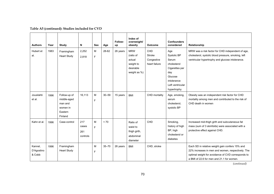| <b>Authors</b>                  | Year | Study                                                                    | N                               | <b>Sex</b> | Age       | Follow-<br>up | Index of<br>overweight/<br>obesity                                          | <b>Outcome</b>                               | <b>Confounders</b><br>considered                                                                                                 | Relationship                                                                                                                                                                                            |
|---------------------------------|------|--------------------------------------------------------------------------|---------------------------------|------------|-----------|---------------|-----------------------------------------------------------------------------|----------------------------------------------|----------------------------------------------------------------------------------------------------------------------------------|---------------------------------------------------------------------------------------------------------------------------------------------------------------------------------------------------------|
| Hubert et<br>al.                | 1983 | Framingham<br><b>Heart Study</b>                                         | 2,252<br>2,818                  | M<br>F     | 28-62     | 26 years      | <b>MRW</b><br>(ratio of<br>actual<br>weight to<br>desirable<br>weight as %) | CHD<br>Stroke<br>Congestive<br>heart failure | Age<br>Systolic BP<br>Serum<br>cholesterol<br>Cigarettes per<br>day<br>Glucose<br>intolerance<br>Left ventricular<br>hypertrophy | MRW was a risk factor for CHD independent of age,<br>cholesterol, systolic blood pressure, smoking, left<br>ventricular hypertrophy and glucose intolerance.                                            |
| Jousilahti<br>et al.            | 1996 | Follow-up of<br>middle-aged<br>man and<br>women in<br>Eastern<br>Finland | 16.113                          | М<br>F     | $30 - 59$ | 15 years      | <b>BMI</b>                                                                  | CHD mortality                                | Age, smoking,<br>serum<br>cholesterol,<br>systolic BP                                                                            | Obesity was an independent risk factor for CHD<br>mortality among men and contributed to the risk of<br>CHD death in women                                                                              |
| Kahn et al.                     | 1996 | Case-control                                                             | 217<br>cases<br>261<br>controls | M<br>F     | < 70      |               | Ratio of<br>waist to<br>thigh girth,<br>abdominal<br>diameter               | CHD                                          | Smoking,<br>history of high<br>BP, high<br>cholesterol or<br>diabetes                                                            | Increased mid-thigh girth and subcutaneous fat<br>mass (sum of 3 skinfolds) were associated with a<br>protective effect against CHD.                                                                    |
| Kannel,<br>D'Agostino<br>& Cobb | 1996 | Framingham<br><b>Heart Study</b>                                         |                                 | M<br>F     | $35 - 70$ | 26 years      | <b>BMI</b>                                                                  | CHD, stroke                                  |                                                                                                                                  | Each SD in relative weight gain confers 15% and<br>22% increases in men and women, respectively. The<br>optimal weight for avoidance of CVD corresponds to<br>a BMI of 22.6 for men and 21.1 for women. |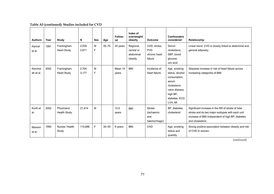| <b>Authors</b>       | Year | Study                              | N              | <b>Sex</b> | Age       | Follow-<br>up    | Index of<br>overweight/<br>obesity              | <b>Outcome</b>                                         | <b>Confounders</b><br>considered                                                                                                   | Relationship                                                                                                                                                                  |
|----------------------|------|------------------------------------|----------------|------------|-----------|------------------|-------------------------------------------------|--------------------------------------------------------|------------------------------------------------------------------------------------------------------------------------------------|-------------------------------------------------------------------------------------------------------------------------------------------------------------------------------|
| Kannel<br>et al.     | 1991 | Framingham<br><b>Heart Study</b>   | 2,039<br>2,671 | M<br>F     | $35 - 70$ | 24 years         | Regional,<br>central or<br>abdominal<br>obesity | CHD, stroke,<br><b>PVD</b><br>chronic heart<br>failure | Serum<br>cholesterol,<br>SBP, blood<br>glucose,<br>uric acid                                                                       | Linear trend. CVD is closely linked to abdominal and<br>general adiposity.                                                                                                    |
| Kenchai<br>ah et al. | 2002 | Framingham<br><b>Heart Study</b>   | 2,704<br>3,177 | M<br>F     |           | Mean 14<br>years | <b>BMI</b>                                      | Incidence of<br>heart failure                          | Age, smoking<br>status, alcohol<br>consumption,<br>serum<br>cholesterol,<br>valve disease.<br>high BP,<br>diabetes, ECG<br>LVH, MI | Stepwise increase in risk of heart failure across<br>increasing categories of BMI                                                                                             |
| Kurth et<br>al.      | 2002 | Physicians'<br><b>Health Study</b> | 21,414         | M          |           | 12.5<br>years    | <b>BMI</b>                                      | <b>Stroke</b><br>(ischaemic<br>and<br>haemorrhagic)    | BP, diabetes,<br>cholesterol                                                                                                       | Significant increase in the RR of stroke of total<br>stroke and its two major subtypes with each unit<br>increase of BMI independent of high BP, diabetes<br>and cholesterol. |
| Manson<br>et al.     | 1990 | Nurses' Health<br>Study            | 115.886        | F.         | $30 - 55$ | 8 years          | <b>BMI</b>                                      | CHD                                                    | Age, smoking<br>status and<br>quantity                                                                                             | Strong positive association between obesity and risk<br>of CHD in women.                                                                                                      |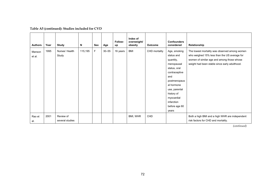| <b>Authors</b>   | Year | Study                        | N       | Sex | Age       | Follow-<br>up | Index of<br>overweight/<br>obesity | <b>Outcome</b> | <b>Confounders</b><br>considered                                                                                                                                                                                 | Relationship                                                                                                                                                                                 |
|------------------|------|------------------------------|---------|-----|-----------|---------------|------------------------------------|----------------|------------------------------------------------------------------------------------------------------------------------------------------------------------------------------------------------------------------|----------------------------------------------------------------------------------------------------------------------------------------------------------------------------------------------|
| Manson<br>et al. | 1995 | Nurses' Health<br>Study      | 115,195 | F   | $30 - 55$ | 16 years      | BMI                                | CHD mortality  | Age, smoking<br>status and<br>quantity,<br>menopausal<br>status, oral<br>contraceptive<br>and<br>postmenopaus<br>al hormone<br>use, parental<br>history of<br>myocardial<br>infarction<br>before age 60<br>years | The lowest mortality was observed among women<br>who weighed 15% less than the US average for<br>women of similar age and among those whose<br>weight had been stable since early adulthood. |
| Rao et<br>al.    | 2001 | Review of<br>several studies |         |     |           |               | BMI, WHR                           | CHD            |                                                                                                                                                                                                                  | Both a high BMI and a high WHR are independent<br>risk factors for CHD and mortality.                                                                                                        |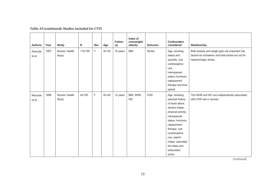| <b>Authors</b>    | Year | <b>Study</b>            | N       | Sex | Age       | Follow-<br>up | Index of<br>overweight/<br>obesity | Outcome | <b>Confounders</b><br>considered                                                                                                                                                                                                                                | Relationship                                                                                                                  |
|-------------------|------|-------------------------|---------|-----|-----------|---------------|------------------------------------|---------|-----------------------------------------------------------------------------------------------------------------------------------------------------------------------------------------------------------------------------------------------------------------|-------------------------------------------------------------------------------------------------------------------------------|
| Rexrode<br>et al. | 1997 | Nurses' Health<br>Study | 116,759 | F   | $30 - 55$ | 16 years      | <b>BMI</b>                         | Stroke  | Age, smoking<br>status and<br>quantity, oral<br>contraceptive<br>use,<br>menopausal<br>status, hormone<br>replacement<br>therapy and time<br>period                                                                                                             | Both obesity and weight gain are important risk<br>factors for ischaemic and total stroke but not for<br>haemorrhagic stroke. |
| Rexrode<br>et al. | 1998 | Nurses' Health<br>Study | 44,702  | F   | $40 - 65$ | 12 years      | BMI, WHR,<br>WC                    | CHD     | Age, smoking,<br>parental history<br>of heart attack,<br>alcohol intake,<br>physical activity,<br>menopausal<br>status, hormone<br>replacement<br>therapy, oral<br>contraceptive<br>use, aspirin<br>intake, saturated<br>fat intake and<br>antioxidant<br>score | The WHR and WC are independently associated<br>with CHD risk in women.                                                        |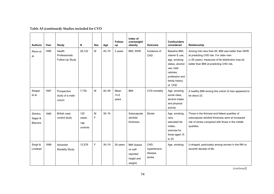| <b>Authors</b>                        | Year | Study                                      | N                               | <b>Sex</b> | Age       | Follow-<br>up         | Index of<br>overweight/<br>obesity                          | <b>Outcome</b>                             | <b>Confounders</b><br>considered                                                                                                            | Relationship                                                                                                                                                                                  |
|---------------------------------------|------|--------------------------------------------|---------------------------------|------------|-----------|-----------------------|-------------------------------------------------------------|--------------------------------------------|---------------------------------------------------------------------------------------------------------------------------------------------|-----------------------------------------------------------------------------------------------------------------------------------------------------------------------------------------------|
| Rimm et<br>al.                        | 1995 | Health<br>Professionals<br>Follow-Up Study | 29,122                          | M          | $40 - 75$ | 3 years               | BMI, WHR                                                    | Incidence of<br>CHD                        | Baseline BMI.<br>vitamin E use,<br>age, smoking<br>status, alcohol<br>use, total<br>calories,<br>profession and<br>family history<br>of CHD | Among men less than 65, BMI was better than WHR<br>at predicting CHD risk. For older men<br>$(\geq 65$ years), measures of fat distribution may be<br>better than BMI at predicting CHD risk. |
| Shaper<br>et al.                      | 1997 | Prospective<br>study of a male<br>cohort   | 7,735                           | M          | $40 - 59$ | Mean<br>14.8<br>years | <b>BMI</b>                                                  | CVD mortality                              | Age, smoking,<br>social class.<br>alcohol intake<br>and physical<br>activity                                                                | A healthy BMI among this cohort of men appeared to<br>be about 22.                                                                                                                            |
| Shinton,<br>Sagar &<br><b>Beevers</b> | 1995 | <b>British case</b><br>control study       | 125<br>cases<br>198<br>controls | M<br>F     | $35 - 74$ |                       | Subscapular<br>skinfold<br>thickness                        | Stroke                                     | Age, smoking,<br>race,<br>saturated fat<br>intake,<br>exercise for<br>those aged 15<br>to 25                                                | Those in the thinnest and fattest quartiles of<br>subscapular skinfold thickness were at increased<br>risk of stroke compared with those in the middle<br>quartiles.                          |
| Singh &<br>Linstead                   | 1998 | Adventist<br><b>Mortality Study</b>        | 12,576                          | F          | $30 - 74$ | 26 years              | BMI (based<br>on self-<br>reported<br>height and<br>weight) | CHD,<br>hypertensive<br>disease,<br>stroke | Age, smoking                                                                                                                                | U-shaped, particularly among women in the fifth to<br>seventh decade of life.                                                                                                                 |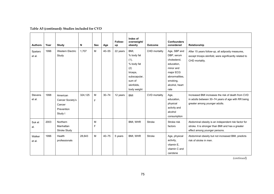|  | Table A5 (continued): Studies included for CVD |
|--|------------------------------------------------|
|--|------------------------------------------------|

| <b>Authors</b>           | Year | <b>Study</b>                                                    | N       | <b>Sex</b> | Age       | Follow-<br>up | Index of<br>overweight/<br>obesity                                                                                 | <b>Outcome</b>       | <b>Confounders</b><br>considered                                                                                                           | Relationship                                                                                                                              |
|--------------------------|------|-----------------------------------------------------------------|---------|------------|-----------|---------------|--------------------------------------------------------------------------------------------------------------------|----------------------|--------------------------------------------------------------------------------------------------------------------------------------------|-------------------------------------------------------------------------------------------------------------------------------------------|
| Spataro<br>et al.        | 1996 | <b>Western Electric</b><br>Study                                | 1.707   | M          | $40 - 55$ | 22 years      | BMI,<br>% body fat<br>(1),<br>% body fat<br>(2)<br>triceps,<br>subscapular,<br>sum of<br>skinfolds,<br>body weight | CHD mortality        | Age, SBP and<br>DBP, serum<br>cholesterol,<br>education,<br>minor and<br>major ECG<br>abnormalities.<br>smoking,<br>alcohol, heart<br>rate | After 15 years follow-up, all adiposity measures,<br>except triceps skinfold, were significantly related to<br>CHD mortality.             |
| <b>Stevens</b><br>et al. | 1998 | American<br>Cancer Society's<br>Cancer<br>Prevention<br>Study I | 324,125 | M<br>F     | $30 - 74$ | 12 years      | <b>BMI</b>                                                                                                         | <b>CVD</b> mortality | Age,<br>education,<br>physical<br>activity and<br>alcohol<br>consumption                                                                   | Increased BMI increases the risk of death from CVD<br>in adults between 30–74 years of age with RR being<br>greater among younger adults. |
| Suk et<br>al.            | 2003 | Northern<br>Manhattan<br>Stroke Study                           |         | M<br>F     |           |               | BMI, WHR                                                                                                           | <b>Stroke</b>        | Stroke risk<br>factors                                                                                                                     | Abdominal obesity is an independent risk factor for<br>stroke. It is stronger than BMI and has a greater<br>effect among younger persons. |
| Walker<br>et al.         | 1996 | Health<br>professionals                                         | 28,643  | M          | $40 - 75$ | 5 years       | BMI, WHR                                                                                                           | <b>Stroke</b>        | Age, physical<br>activity,<br>vitamin E,<br>vitamin C and<br>carotene                                                                      | Abdominal obesity but not increased BMI, predicts<br>risk of stroke in men.                                                               |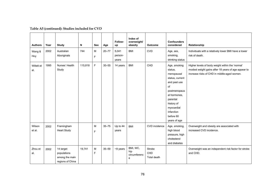| <b>Authors</b>    | Year | Study                                                          | N       | <b>Sex</b> | Age       | Follow-<br>up             | Index of<br>overweight/<br>obesity   | Outcome                      | <b>Confounders</b><br>considered                                                                                                                                                                  | Relationship                                                                                                                                           |
|-------------------|------|----------------------------------------------------------------|---------|------------|-----------|---------------------------|--------------------------------------|------------------------------|---------------------------------------------------------------------------------------------------------------------------------------------------------------------------------------------------|--------------------------------------------------------------------------------------------------------------------------------------------------------|
| Wang &<br>Hoy     | 2002 | Australian<br>Aboriginals                                      | 744     | M<br>F     | $20 - 77$ | 5,041<br>person-<br>years | <b>BMI</b>                           | <b>CVD</b>                   | Age, sex,<br>smoking,<br>drinking status                                                                                                                                                          | Individuals with a relatively lower BMI have a lower<br>risk of death.                                                                                 |
| Willett et<br>al. | 1995 | Nurses' Health<br>Study                                        | 115,818 | F          | $30 - 55$ | 14 years                  | <b>BMI</b>                           | CHD                          | Age, smoking<br>status,<br>menopausal<br>status, current<br>and past use<br>of<br>postmenopaus<br>al hormones.<br>parental<br>history of<br>myocardial<br>infarction<br>before 60<br>years of age | Higher levels of body weight within the 'normal'<br>modest weight gains after 18 years of age appear to<br>increase risks of CHD in middle-aged women. |
| Wilson<br>et al.  | 2002 | Framingham<br><b>Heart Study</b>                               |         | M<br>F     | $35 - 75$ | Up to 44<br>years         | <b>BMI</b>                           | CVD incidence                | Age, smoking,<br>high blood<br>pressure, high<br>cholesterol<br>and diabetes                                                                                                                      | Overweight and obesity are associated with<br>increased CVD incidence.                                                                                 |
| Zhou et<br>al.    | 2002 | 14 target<br>populations<br>among the main<br>regions of China | 19,741  | M<br>F     | $35 - 59$ | $~10$ years               | BMI, WC,<br>hip<br>circumferenc<br>e | Stroke<br>CHD<br>Total death |                                                                                                                                                                                                   | Overweight was an independent risk factor for stroke<br>and CHD.                                                                                       |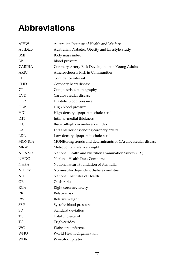# **Abbreviations**

| <b>AIHW</b>   | Australian Institute of Health and Welfare                   |
|---------------|--------------------------------------------------------------|
| AusDiab       | Australian Diabetes, Obesity and Lifestyle Study             |
| BMI           | Body mass index                                              |
| $\rm BP$      | Blood pressure                                               |
| CARDIA        | Coronary Artery Risk Development in Young Adults             |
| <b>ARIC</b>   | Atherosclerosis Risk in Communities                          |
| <b>CI</b>     | Confidence interval                                          |
| <b>CHD</b>    | Coronary heart disease                                       |
| <b>CT</b>     | Computerised tomography                                      |
| <b>CVD</b>    | Cardiovascular disease                                       |
| <b>DBP</b>    | Diastolic blood pressure                                     |
| <b>HBP</b>    | High blood pressure                                          |
| <b>HDL</b>    | High-density lipoprotein cholesterol                         |
| <b>IMT</b>    | Intimal-medial thickness                                     |
| <b>ITCI</b>   | Iliac-to-thigh circumference index                           |
| <b>LAD</b>    | Left anterior descending coronary artery                     |
| <b>LDL</b>    | Low-density lipoprotein cholesterol                          |
| <b>MONICA</b> | MONItoring trends and determinants of CArdiovascular disease |
| <b>MRW</b>    | Metropolitan relative weight                                 |
| <b>NHANES</b> | National Health and Nutrition Examination Survey (US)        |
| <b>NHDC</b>   | National Health Data Committee                               |
| <b>NHFA</b>   | National Heart Foundation of Australia                       |
| <b>NIDDM</b>  | Non-insulin dependent diabetes mellitus                      |
| <b>NIH</b>    | National Institutes of Health                                |
| <b>OR</b>     | Odds ratio                                                   |
| <b>RCA</b>    | Right coronary artery                                        |
| RR            | Relative risk                                                |
| RW            | Relative weight                                              |
| <b>SBP</b>    | Systolic blood pressure                                      |
| SD            | Standard deviation                                           |
| TC            | Total cholesterol                                            |
| TG            | Triglycerides                                                |
| WC            | Waist circumference                                          |
| <b>WHO</b>    | World Health Organization                                    |
| <b>WHR</b>    | Waist-to-hip ratio                                           |
|               |                                                              |